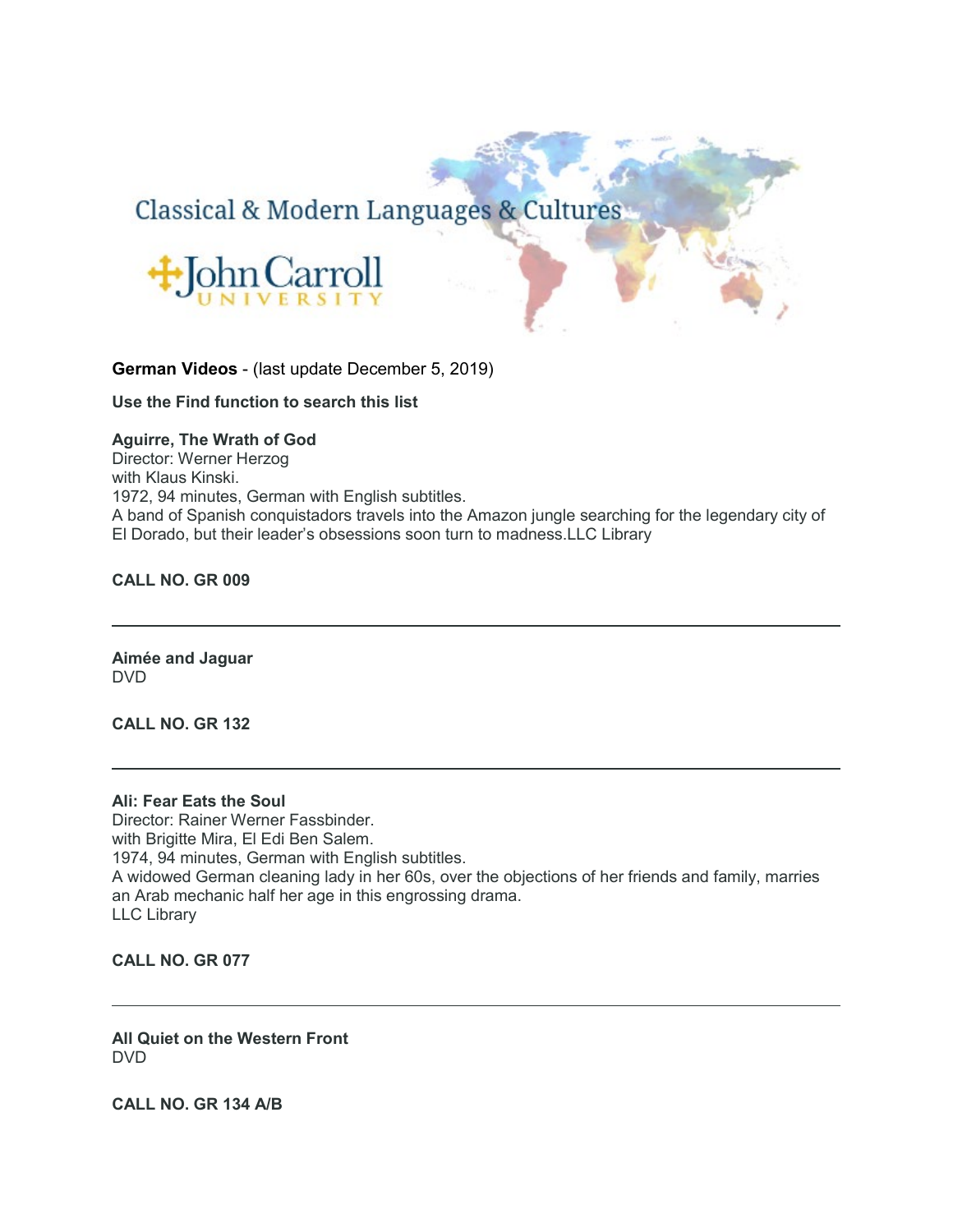# Classical & Modern Languages & Cultures



**German Videos** - (last update December 5, 2019)

**Use the Find function to search this list**

# **Aguirre, The Wrath of God**

Director: Werner Herzog with Klaus Kinski. 1972, 94 minutes, German with English subtitles. A band of Spanish conquistadors travels into the Amazon jungle searching for the legendary city of El Dorado, but their leader's obsessions soon turn to madness.LLC Library

**CALL NO. GR 009**

**Aimée and Jaguar** DVD

**CALL NO. GR 132**

#### **Ali: Fear Eats the Soul**

Director: Rainer Werner Fassbinder. with Brigitte Mira, El Edi Ben Salem. 1974, 94 minutes, German with English subtitles. A widowed German cleaning lady in her 60s, over the objections of her friends and family, marries an Arab mechanic half her age in this engrossing drama. LLC Library

**CALL NO. GR 077**

**All Quiet on the Western Front** DVD

**CALL NO. GR 134 A/B**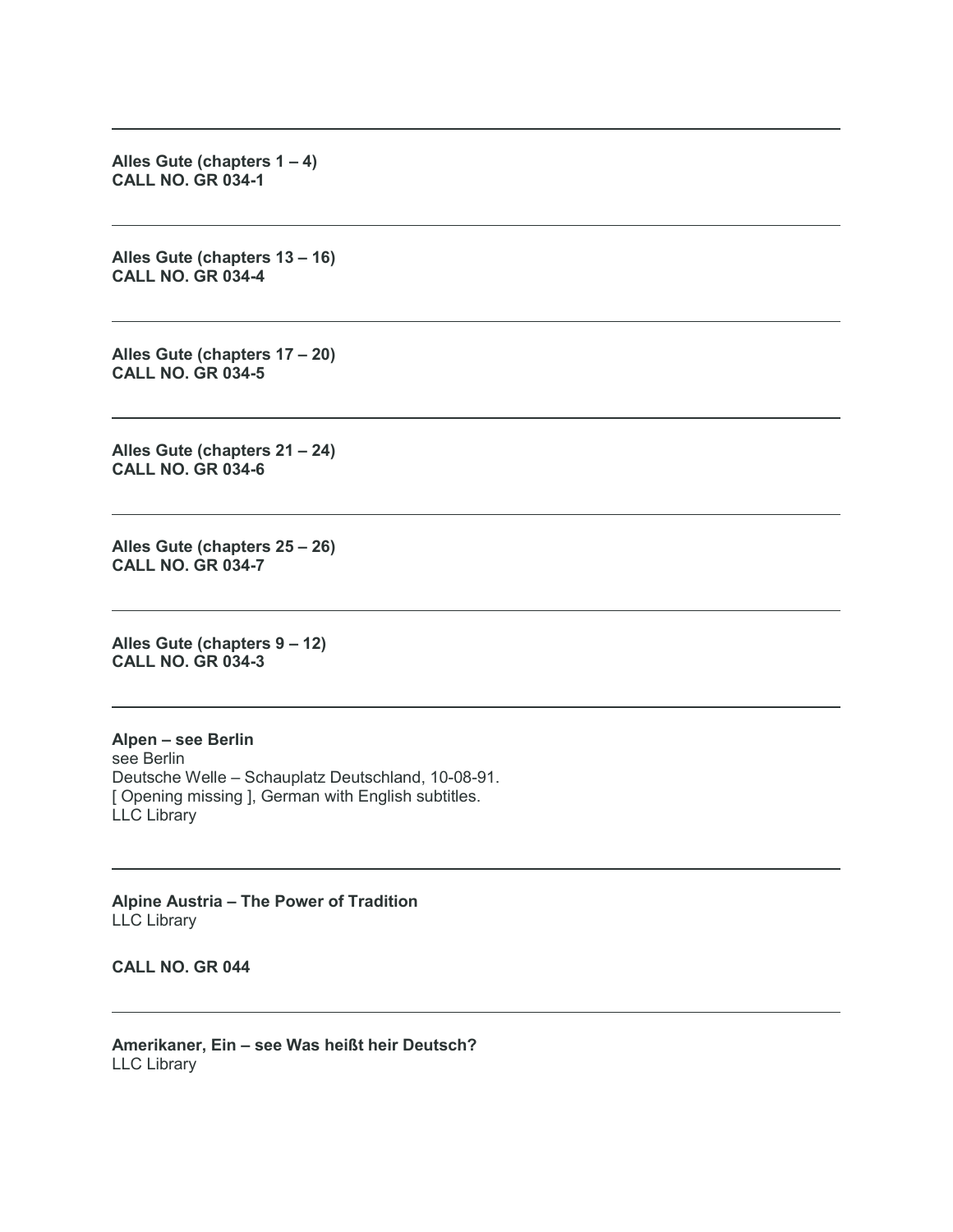**Alles Gute (chapters 1 – 4) CALL NO. GR 034-1**

**Alles Gute (chapters 13 – 16) CALL NO. GR 034-4**

**Alles Gute (chapters 17 – 20) CALL NO. GR 034-5**

**Alles Gute (chapters 21 – 24) CALL NO. GR 034-6**

**Alles Gute (chapters 25 – 26) CALL NO. GR 034-7**

**Alles Gute (chapters 9 – 12) CALL NO. GR 034-3**

**Alpen – see Berlin** see Berlin Deutsche Welle – Schauplatz Deutschland, 10-08-91. [ Opening missing ], German with English subtitles. LLC Library

**Alpine Austria – The Power of Tradition** LLC Library

**CALL NO. GR 044**

**Amerikaner, Ein – see Was heißt heir Deutsch?** LLC Library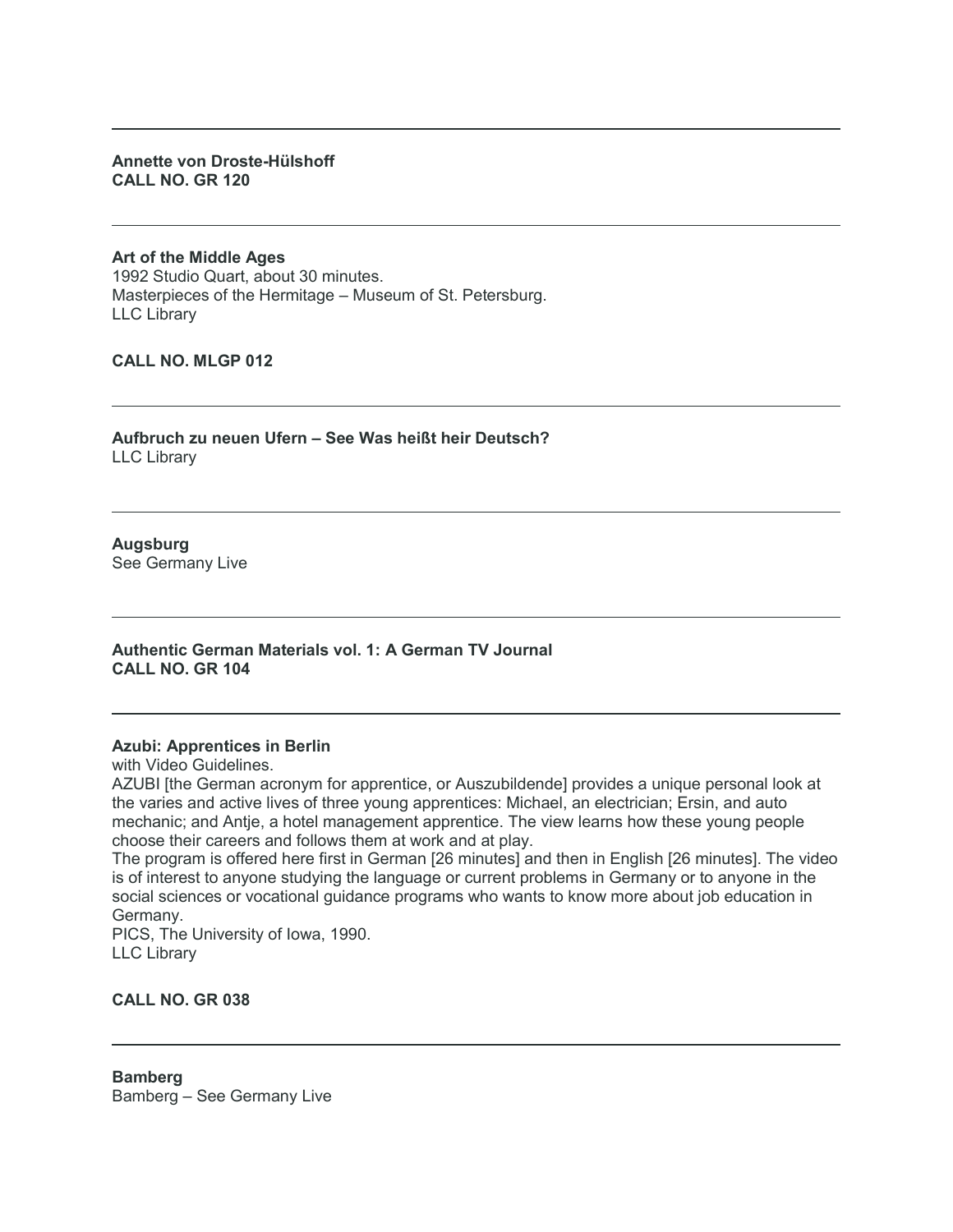### **Annette von Droste-Hülshoff CALL NO. GR 120**

**Art of the Middle Ages** 1992 Studio Quart, about 30 minutes. Masterpieces of the Hermitage – Museum of St. Petersburg. LLC Library

**CALL NO. MLGP 012**

**Aufbruch zu neuen Ufern – See Was heißt heir Deutsch?** LLC Library

**Augsburg** See Germany Live

**Authentic German Materials vol. 1: A German TV Journal CALL NO. GR 104**

#### **Azubi: Apprentices in Berlin**

with Video Guidelines.

AZUBI [the German acronym for apprentice, or Auszubildende] provides a unique personal look at the varies and active lives of three young apprentices: Michael, an electrician; Ersin, and auto mechanic; and Antje, a hotel management apprentice. The view learns how these young people choose their careers and follows them at work and at play.

The program is offered here first in German [26 minutes] and then in English [26 minutes]. The video is of interest to anyone studying the language or current problems in Germany or to anyone in the social sciences or vocational guidance programs who wants to know more about job education in Germany.

PICS, The University of Iowa, 1990. LLC Library

**CALL NO. GR 038**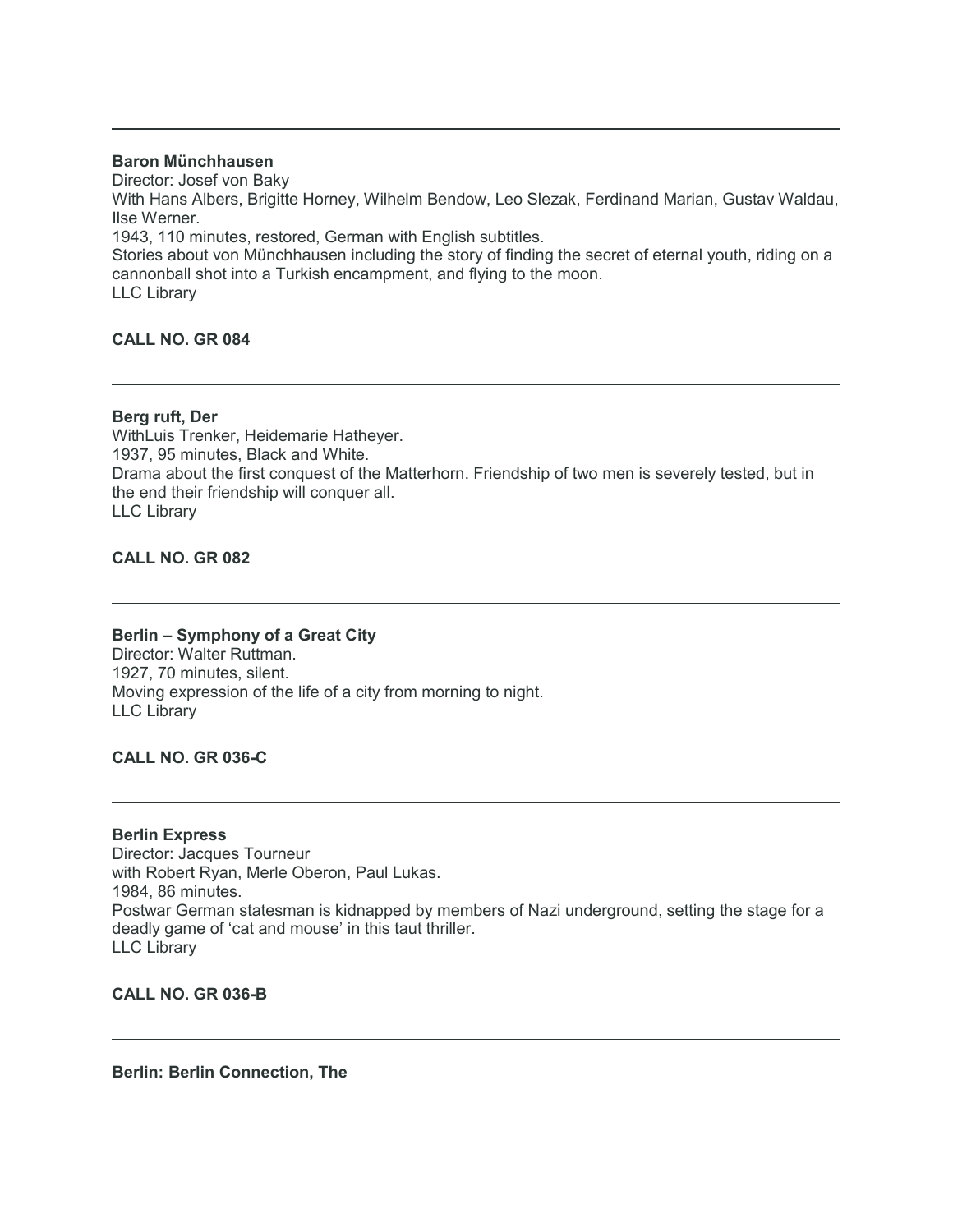# **Baron Münchhausen**

Director: Josef von Baky

With Hans Albers, Brigitte Horney, Wilhelm Bendow, Leo Slezak, Ferdinand Marian, Gustav Waldau, Ilse Werner.

1943, 110 minutes, restored, German with English subtitles.

Stories about von Münchhausen including the story of finding the secret of eternal youth, riding on a cannonball shot into a Turkish encampment, and flying to the moon. LLC Library

# **CALL NO. GR 084**

# **Berg ruft, Der**

WithLuis Trenker, Heidemarie Hatheyer. 1937, 95 minutes, Black and White. Drama about the first conquest of the Matterhorn. Friendship of two men is severely tested, but in the end their friendship will conquer all. LLC Library

# **CALL NO. GR 082**

#### **Berlin – Symphony of a Great City**

Director: Walter Ruttman. 1927, 70 minutes, silent. Moving expression of the life of a city from morning to night. LLC Library

# **CALL NO. GR 036-C**

#### **Berlin Express**

Director: Jacques Tourneur with Robert Ryan, Merle Oberon, Paul Lukas. 1984, 86 minutes. Postwar German statesman is kidnapped by members of Nazi underground, setting the stage for a deadly game of 'cat and mouse' in this taut thriller. LLC Library

**CALL NO. GR 036-B**

**Berlin: Berlin Connection, The**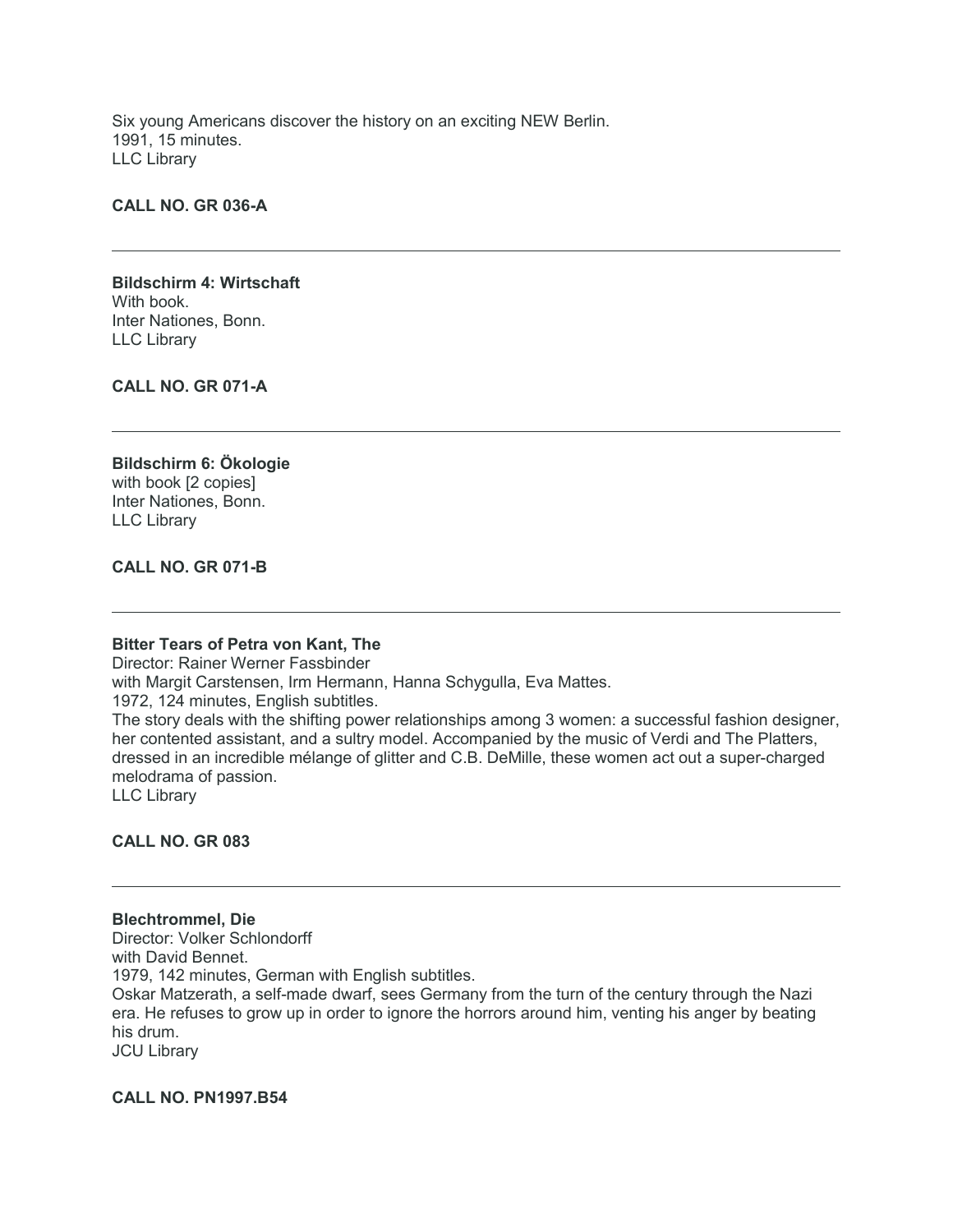Six young Americans discover the history on an exciting NEW Berlin. 1991, 15 minutes. LLC Library

#### **CALL NO. GR 036-A**

#### **Bildschirm 4: Wirtschaft** With book. Inter Nationes, Bonn. LLC Library

**CALL NO. GR 071-A**

# **Bildschirm 6: Ökologie** with book [2 copies] Inter Nationes, Bonn. LLC Library

### **CALL NO. GR 071-B**

#### **Bitter Tears of Petra von Kant, The**

Director: Rainer Werner Fassbinder with Margit Carstensen, Irm Hermann, Hanna Schygulla, Eva Mattes. 1972, 124 minutes, English subtitles. The story deals with the shifting power relationships among 3 women: a successful fashion designer, her contented assistant, and a sultry model. Accompanied by the music of Verdi and The Platters, dressed in an incredible mélange of glitter and C.B. DeMille, these women act out a super-charged melodrama of passion. LLC Library

**CALL NO. GR 083**

**Blechtrommel, Die** Director: Volker Schlondorff with David Bennet. 1979, 142 minutes, German with English subtitles. Oskar Matzerath, a self-made dwarf, sees Germany from the turn of the century through the Nazi era. He refuses to grow up in order to ignore the horrors around him, venting his anger by beating his drum. JCU Library

**CALL NO. PN1997.B54**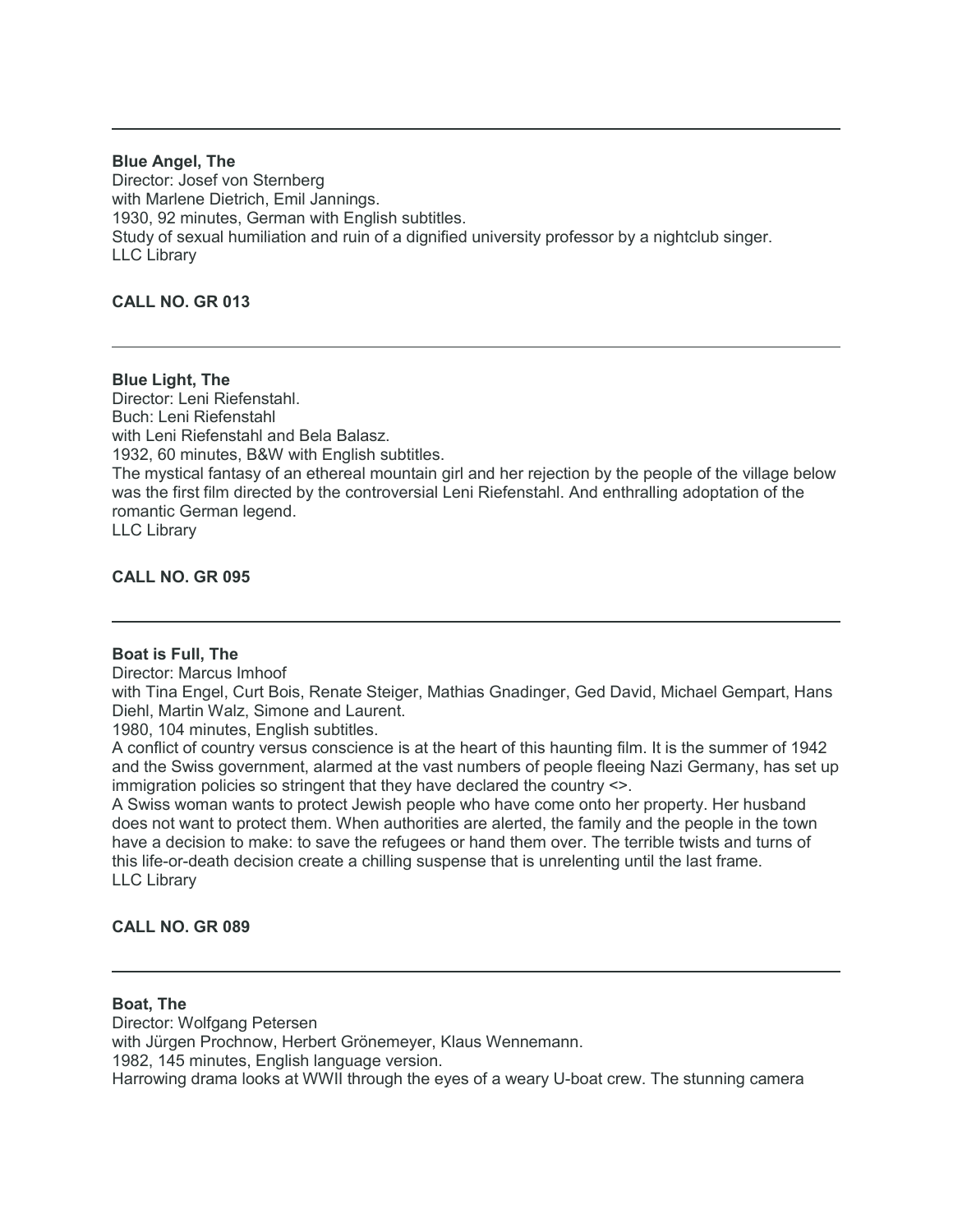# **Blue Angel, The**

Director: Josef von Sternberg with Marlene Dietrich, Emil Jannings. 1930, 92 minutes, German with English subtitles. Study of sexual humiliation and ruin of a dignified university professor by a nightclub singer. LLC Library

# **CALL NO. GR 013**

**Blue Light, The** Director: Leni Riefenstahl. Buch: Leni Riefenstahl with Leni Riefenstahl and Bela Balasz. 1932, 60 minutes, B&W with English subtitles. The mystical fantasy of an ethereal mountain girl and her rejection by the people of the village below was the first film directed by the controversial Leni Riefenstahl. And enthralling adoptation of the romantic German legend. LLC Library

**CALL NO. GR 095**

#### **Boat is Full, The**

Director: Marcus Imhoof

with Tina Engel, Curt Bois, Renate Steiger, Mathias Gnadinger, Ged David, Michael Gempart, Hans Diehl, Martin Walz, Simone and Laurent.

1980, 104 minutes, English subtitles.

A conflict of country versus conscience is at the heart of this haunting film. It is the summer of 1942 and the Swiss government, alarmed at the vast numbers of people fleeing Nazi Germany, has set up immigration policies so stringent that they have declared the country <>.

A Swiss woman wants to protect Jewish people who have come onto her property. Her husband does not want to protect them. When authorities are alerted, the family and the people in the town have a decision to make: to save the refugees or hand them over. The terrible twists and turns of this life-or-death decision create a chilling suspense that is unrelenting until the last frame. LLC Library

# **CALL NO. GR 089**

#### **Boat, The**

Director: Wolfgang Petersen with Jürgen Prochnow, Herbert Grönemeyer, Klaus Wennemann. 1982, 145 minutes, English language version. Harrowing drama looks at WWII through the eyes of a weary U-boat crew. The stunning camera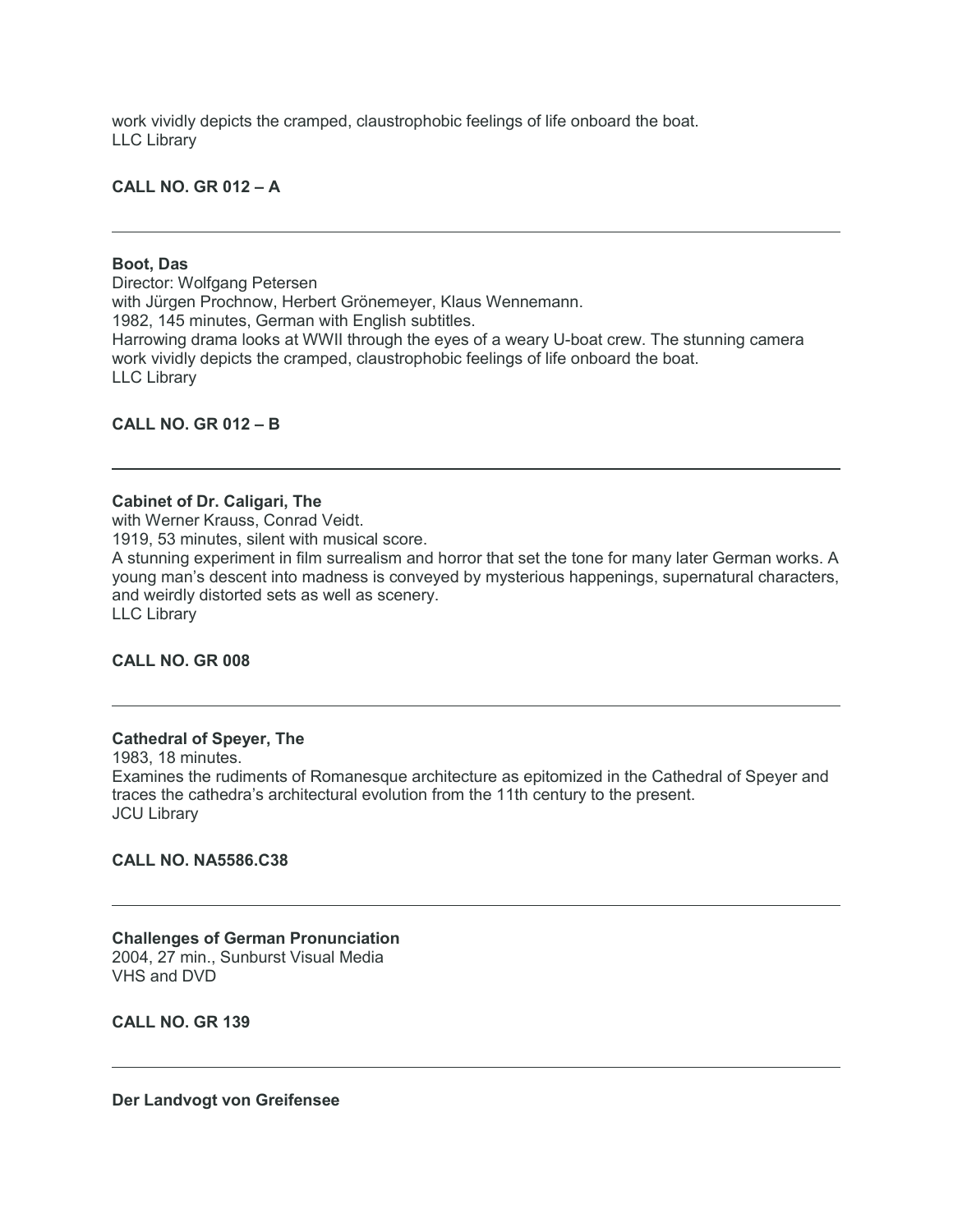work vividly depicts the cramped, claustrophobic feelings of life onboard the boat. LLC Library

**CALL NO. GR 012 – A**

#### **Boot, Das**

Director: Wolfgang Petersen with Jürgen Prochnow, Herbert Grönemeyer, Klaus Wennemann. 1982, 145 minutes, German with English subtitles. Harrowing drama looks at WWII through the eyes of a weary U-boat crew. The stunning camera work vividly depicts the cramped, claustrophobic feelings of life onboard the boat. LLC Library

#### **CALL NO. GR 012 – B**

#### **Cabinet of Dr. Caligari, The**

with Werner Krauss, Conrad Veidt. 1919, 53 minutes, silent with musical score. A stunning experiment in film surrealism and horror that set the tone for many later German works. A young man's descent into madness is conveyed by mysterious happenings, supernatural characters, and weirdly distorted sets as well as scenery. LLC Library

**CALL NO. GR 008**

#### **Cathedral of Speyer, The**

1983, 18 minutes. Examines the rudiments of Romanesque architecture as epitomized in the Cathedral of Speyer and traces the cathedra's architectural evolution from the 11th century to the present. JCU Library

# **CALL NO. NA5586.C38**

**Challenges of German Pronunciation** 2004, 27 min., Sunburst Visual Media VHS and DVD

**CALL NO. GR 139**

**Der Landvogt von Greifensee**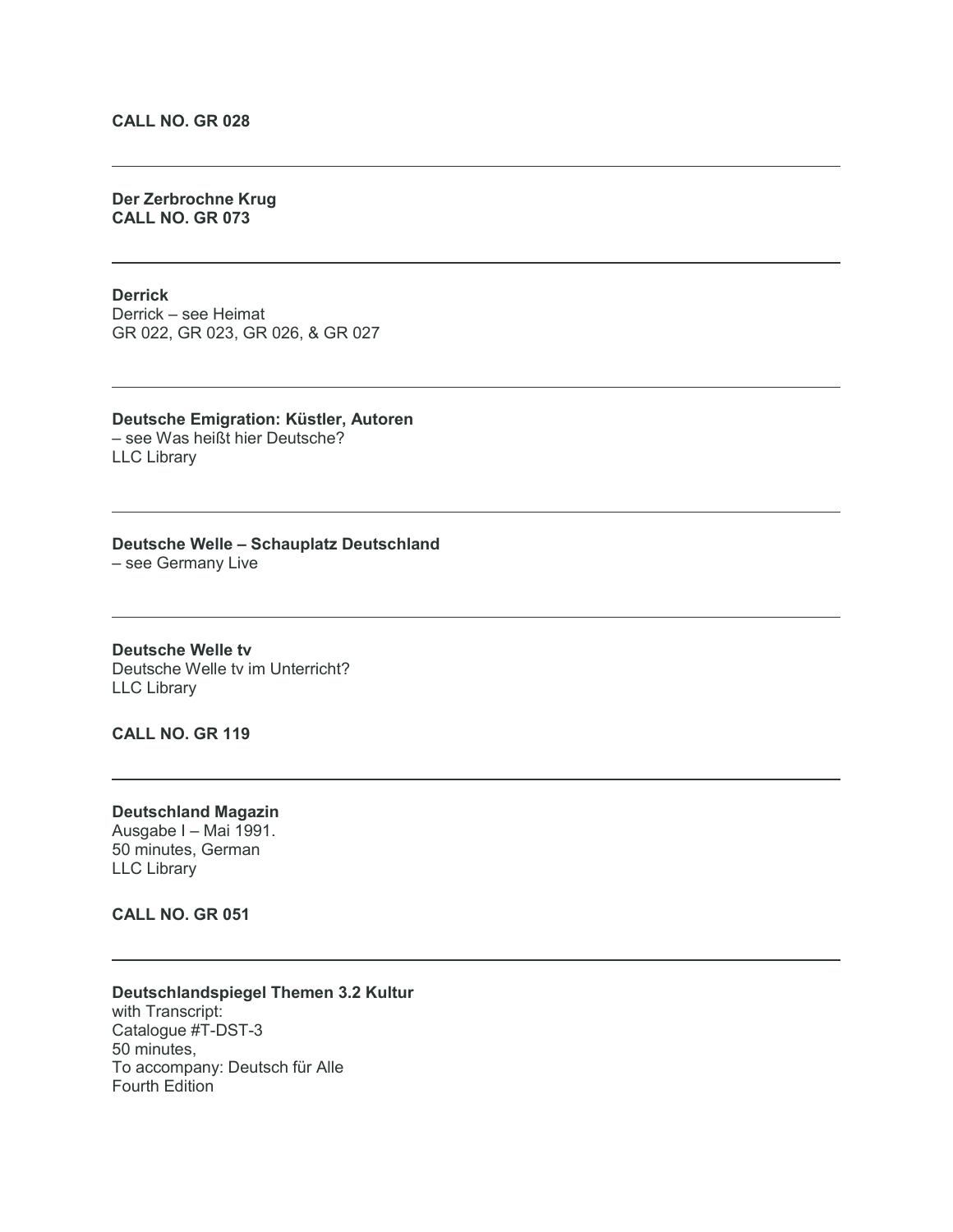# **CALL NO. GR 028**

# **Der Zerbrochne Krug CALL NO. GR 073**

#### **Derrick**

Derrick – see Heimat GR 022, GR 023, GR 026, & GR 027

#### **Deutsche Emigration: Küstler, Autoren** – see Was heißt hier Deutsche? LLC Library

#### **Deutsche Welle – Schauplatz Deutschland**

– see Germany Live

**Deutsche Welle tv** Deutsche Welle tv im Unterricht? LLC Library

# **CALL NO. GR 119**

### **Deutschland Magazin** Ausgabe I – Mai 1991. 50 minutes, German LLC Library

#### **CALL NO. GR 051**

# **Deutschlandspiegel Themen 3.2 Kultur**

with Transcript: Catalogue #T-DST-3 50 minutes, To accompany: Deutsch für Alle Fourth Edition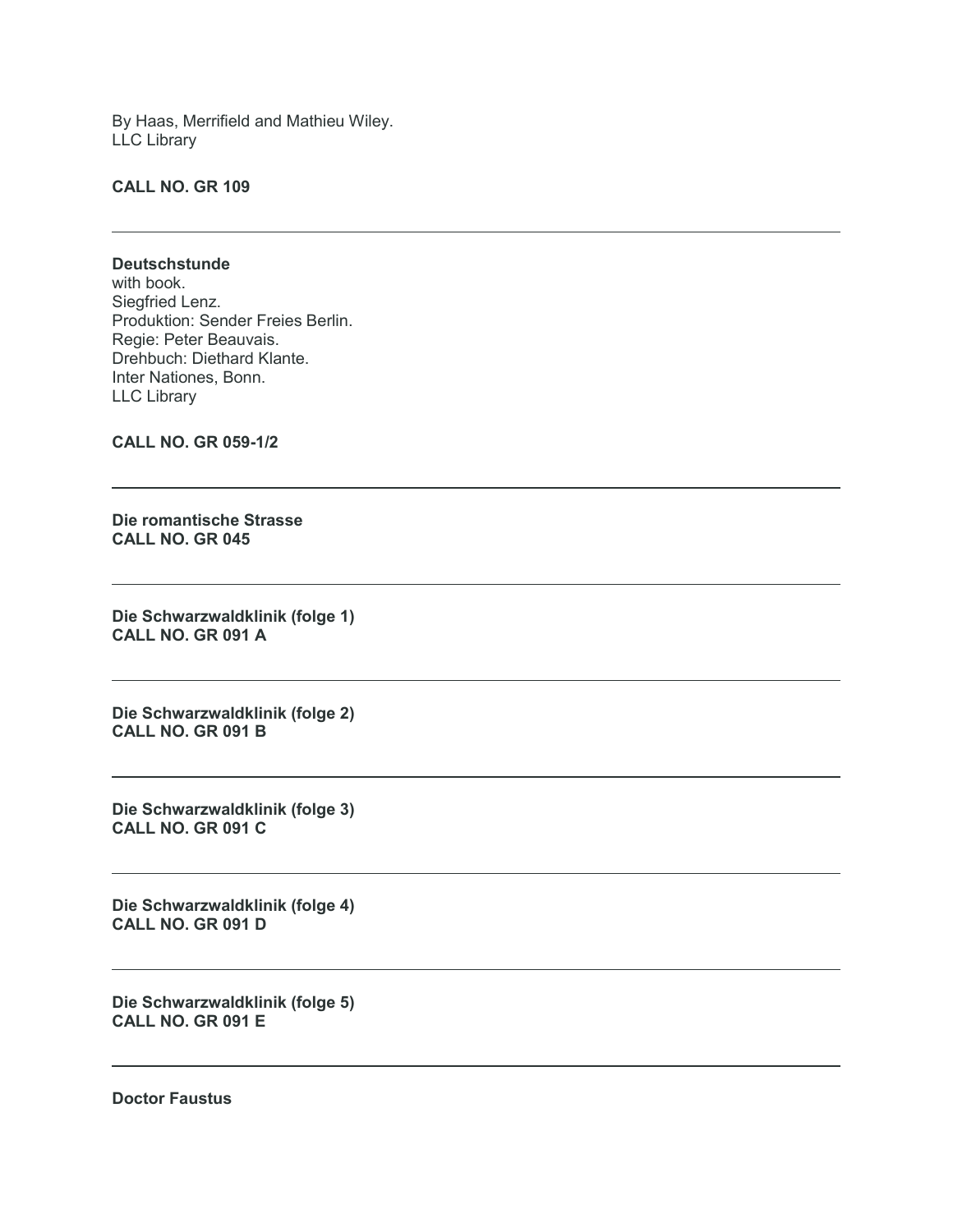By Haas, Merrifield and Mathieu Wiley. LLC Library

#### **CALL NO. GR 109**

#### **Deutschstunde**

with book. Siegfried Lenz. Produktion: Sender Freies Berlin. Regie: Peter Beauvais. Drehbuch: Diethard Klante. Inter Nationes, Bonn. LLC Library

**CALL NO. GR 059-1/2**

**Die romantische Strasse CALL NO. GR 045**

**Die Schwarzwaldklinik (folge 1) CALL NO. GR 091 A**

**Die Schwarzwaldklinik (folge 2) CALL NO. GR 091 B**

**Die Schwarzwaldklinik (folge 3) CALL NO. GR 091 C**

**Die Schwarzwaldklinik (folge 4) CALL NO. GR 091 D**

**Die Schwarzwaldklinik (folge 5) CALL NO. GR 091 E**

**Doctor Faustus**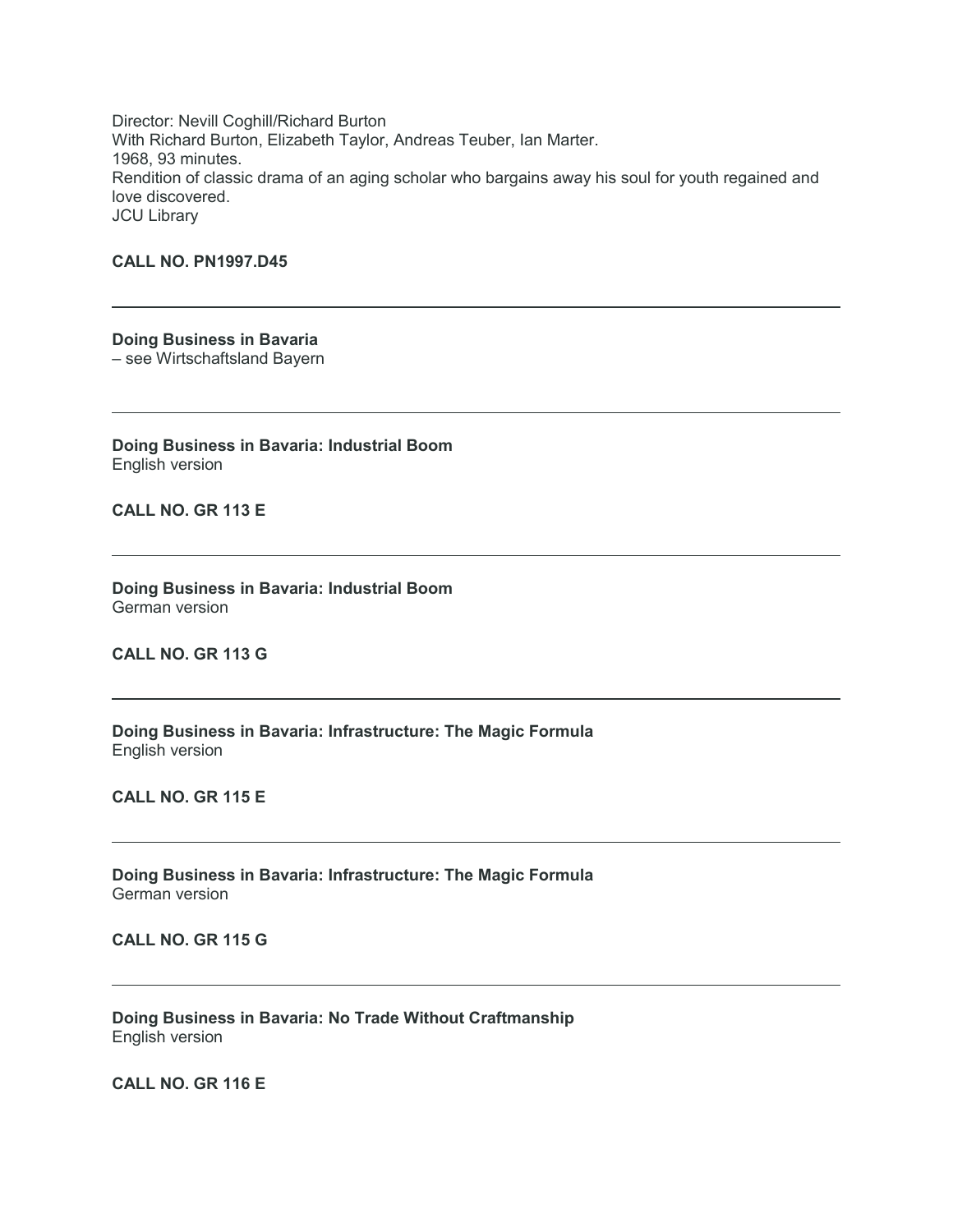Director: Nevill Coghill/Richard Burton With Richard Burton, Elizabeth Taylor, Andreas Teuber, Ian Marter. 1968, 93 minutes. Rendition of classic drama of an aging scholar who bargains away his soul for youth regained and love discovered. JCU Library

# **CALL NO. PN1997.D45**

**Doing Business in Bavaria** – see Wirtschaftsland Bayern

**Doing Business in Bavaria: Industrial Boom** English version

**CALL NO. GR 113 E**

**Doing Business in Bavaria: Industrial Boom** German version

**CALL NO. GR 113 G**

**Doing Business in Bavaria: Infrastructure: The Magic Formula** English version

**CALL NO. GR 115 E**

**Doing Business in Bavaria: Infrastructure: The Magic Formula** German version

**CALL NO. GR 115 G**

**Doing Business in Bavaria: No Trade Without Craftmanship** English version

**CALL NO. GR 116 E**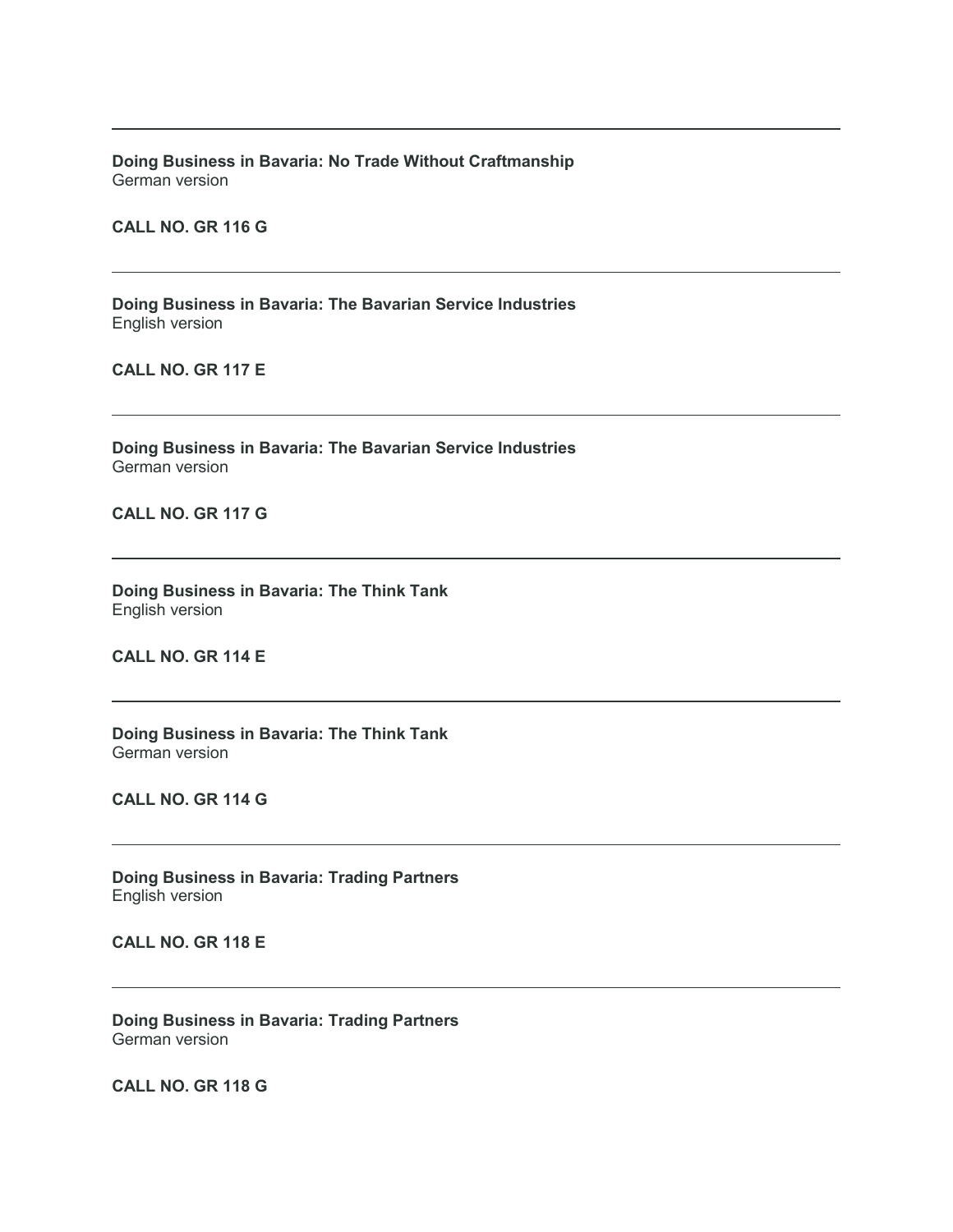**Doing Business in Bavaria: No Trade Without Craftmanship** German version

**CALL NO. GR 116 G**

**Doing Business in Bavaria: The Bavarian Service Industries** English version

**CALL NO. GR 117 E**

**Doing Business in Bavaria: The Bavarian Service Industries** German version

**CALL NO. GR 117 G**

**Doing Business in Bavaria: The Think Tank** English version

**CALL NO. GR 114 E**

**Doing Business in Bavaria: The Think Tank** German version

**CALL NO. GR 114 G**

**Doing Business in Bavaria: Trading Partners** English version

**CALL NO. GR 118 E**

**Doing Business in Bavaria: Trading Partners** German version

**CALL NO. GR 118 G**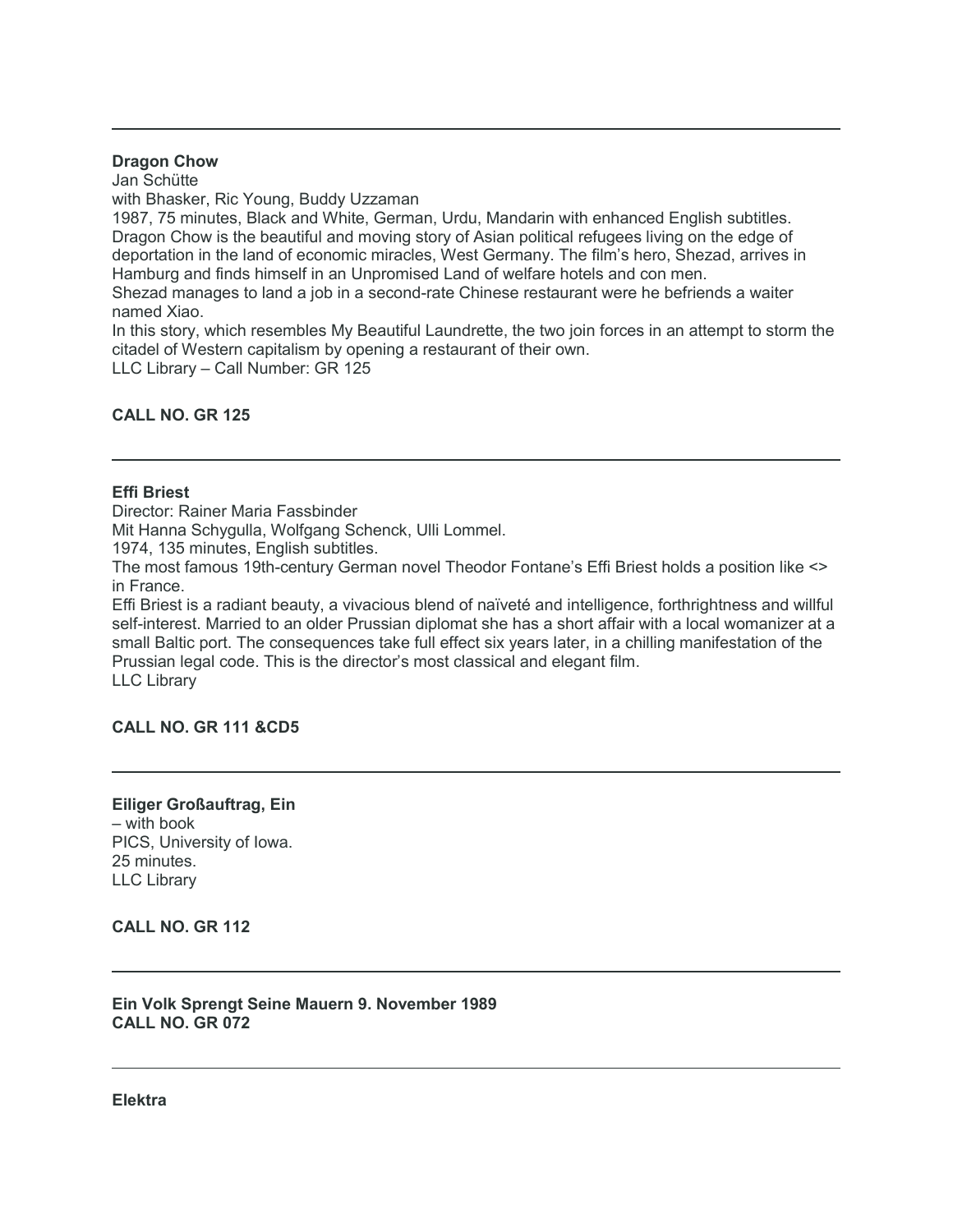#### **Dragon Chow**

Jan Schütte

with Bhasker, Ric Young, Buddy Uzzaman

1987, 75 minutes, Black and White, German, Urdu, Mandarin with enhanced English subtitles. Dragon Chow is the beautiful and moving story of Asian political refugees living on the edge of deportation in the land of economic miracles, West Germany. The film's hero, Shezad, arrives in Hamburg and finds himself in an Unpromised Land of welfare hotels and con men.

Shezad manages to land a job in a second-rate Chinese restaurant were he befriends a waiter named Xiao.

In this story, which resembles My Beautiful Laundrette, the two join forces in an attempt to storm the citadel of Western capitalism by opening a restaurant of their own.

LLC Library – Call Number: GR 125

# **CALL NO. GR 125**

# **Effi Briest**

Director: Rainer Maria Fassbinder

Mit Hanna Schygulla, Wolfgang Schenck, Ulli Lommel.

1974, 135 minutes, English subtitles.

The most famous 19th-century German novel Theodor Fontane's Effi Briest holds a position like <> in France.

Effi Briest is a radiant beauty, a vivacious blend of naïveté and intelligence, forthrightness and willful self-interest. Married to an older Prussian diplomat she has a short affair with a local womanizer at a small Baltic port. The consequences take full effect six years later, in a chilling manifestation of the Prussian legal code. This is the director's most classical and elegant film. LLC Library

# **CALL NO. GR 111 &CD5**

## **Eiliger Großauftrag, Ein** – with book PICS, University of Iowa. 25 minutes. LLC Library

# **CALL NO. GR 112**

# **Ein Volk Sprengt Seine Mauern 9. November 1989 CALL NO. GR 072**

**Elektra**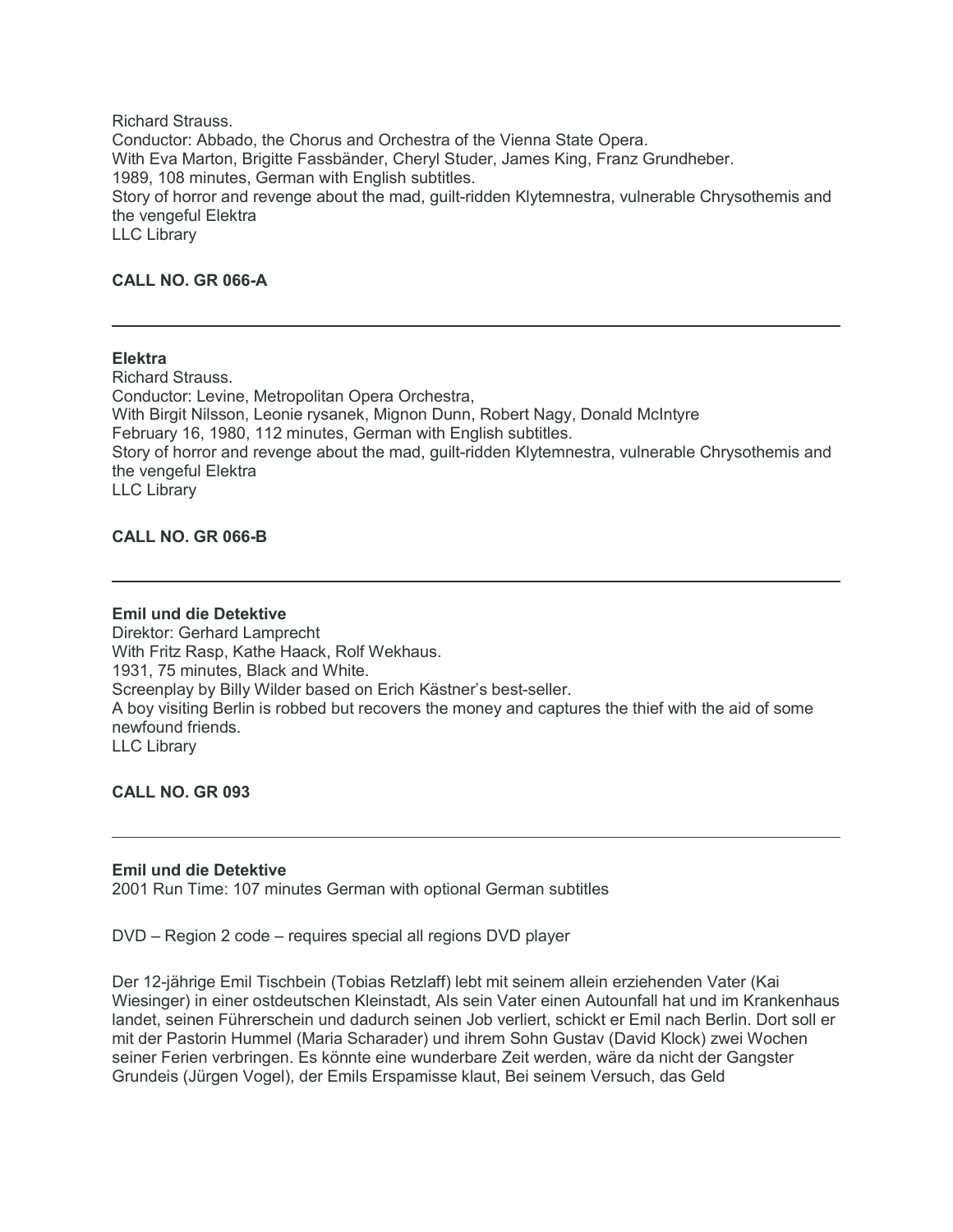Richard Strauss. Conductor: Abbado, the Chorus and Orchestra of the Vienna State Opera. With Eva Marton, Brigitte Fassbänder, Cheryl Studer, James King, Franz Grundheber. 1989, 108 minutes, German with English subtitles. Story of horror and revenge about the mad, guilt-ridden Klytemnestra, vulnerable Chrysothemis and the vengeful Elektra LLC Library

# **CALL NO. GR 066-A**

# **Elektra**

Richard Strauss. Conductor: Levine, Metropolitan Opera Orchestra, With Birgit Nilsson, Leonie rysanek, Mignon Dunn, Robert Nagy, Donald McIntyre February 16, 1980, 112 minutes, German with English subtitles. Story of horror and revenge about the mad, guilt-ridden Klytemnestra, vulnerable Chrysothemis and the vengeful Elektra LLC Library

# **CALL NO. GR 066-B**

#### **Emil und die Detektive**

Direktor: Gerhard Lamprecht With Fritz Rasp, Kathe Haack, Rolf Wekhaus. 1931, 75 minutes, Black and White. Screenplay by Billy Wilder based on Erich Kästner's best-seller. A boy visiting Berlin is robbed but recovers the money and captures the thief with the aid of some newfound friends. LLC Library

**CALL NO. GR 093**

#### **Emil und die Detektive**

2001 Run Time: 107 minutes German with optional German subtitles

DVD – Region 2 code – requires special all regions DVD player

Der 12-jährige Emil Tischbein (Tobias Retzlaff) lebt mit seinem allein erziehenden Vater (Kai Wiesinger) in einer ostdeutschen Kleinstadt, Als sein Vater einen Autounfall hat und im Krankenhaus landet, seinen Führerschein und dadurch seinen Job verliert, schickt er Emil nach Berlin. Dort soll er mit der Pastorin Hummel (Maria Scharader) und ihrem Sohn Gustav (David Klock) zwei Wochen seiner Ferien verbringen. Es könnte eine wunderbare Zeit werden, wäre da nicht der Gangster Grundeis (Jürgen Vogel), der Emils Erspamisse klaut, Bei seinem Versuch, das Geld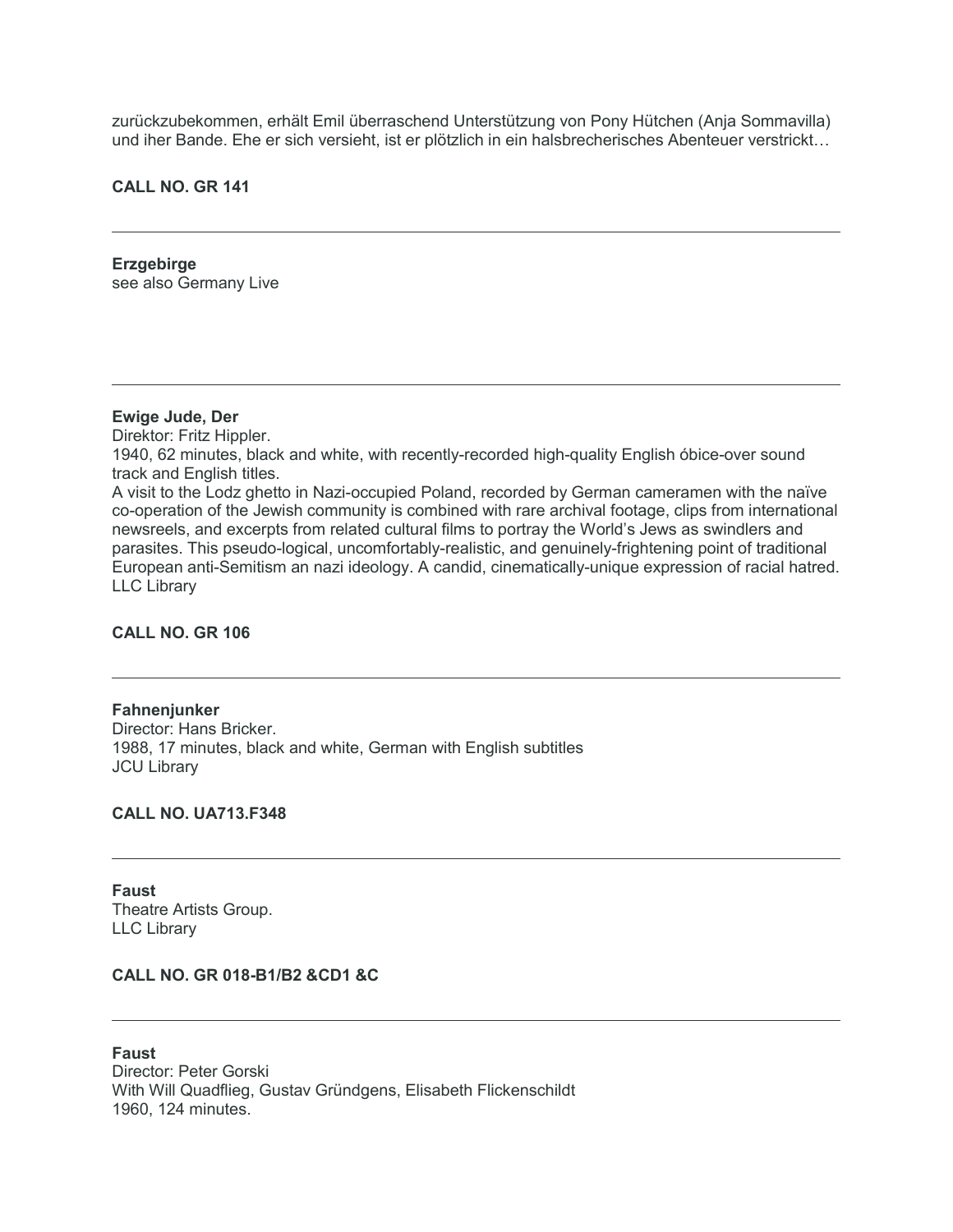zurückzubekommen, erhält Emil überraschend Unterstützung von Pony Hütchen (Anja Sommavilla) und iher Bande. Ehe er sich versieht, ist er plötzlich in ein halsbrecherisches Abenteuer verstrickt…

# **CALL NO. GR 141**

**Erzgebirge** see also Germany Live

#### **Ewige Jude, Der**

Direktor: Fritz Hippler. 1940, 62 minutes, black and white, with recently-recorded high-quality English óbice-over sound track and English titles. A visit to the Lodz ghetto in Nazi-occupied Poland, recorded by German cameramen with the naïve co-operation of the Jewish community is combined with rare archival footage, clips from international newsreels, and excerpts from related cultural films to portray the World's Jews as swindlers and parasites. This pseudo-logical, uncomfortably-realistic, and genuinely-frightening point of traditional European anti-Semitism an nazi ideology. A candid, cinematically-unique expression of racial hatred. LLC Library

#### **CALL NO. GR 106**

**Fahnenjunker** Director: Hans Bricker. 1988, 17 minutes, black and white, German with English subtitles JCU Library

# **CALL NO. UA713.F348**

**Faust** Theatre Artists Group. LLC Library

# **CALL NO. GR 018-B1/B2 &CD1 &C**

**Faust** Director: Peter Gorski With Will Quadflieg, Gustav Gründgens, Elisabeth Flickenschildt 1960, 124 minutes.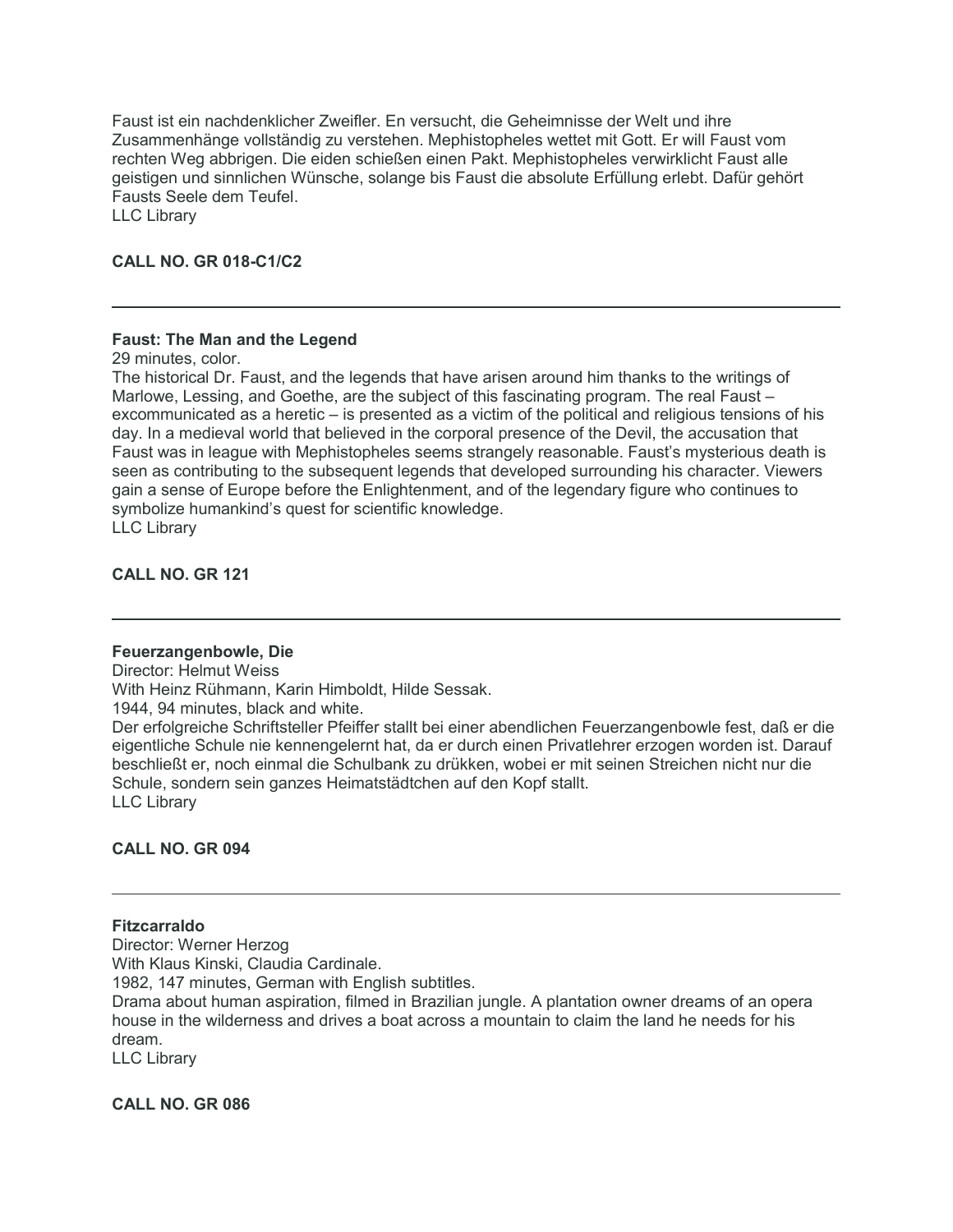Faust ist ein nachdenklicher Zweifler. En versucht, die Geheimnisse der Welt und ihre Zusammenhänge vollständig zu verstehen. Mephistopheles wettet mit Gott. Er will Faust vom rechten Weg abbrigen. Die eiden schießen einen Pakt. Mephistopheles verwirklicht Faust alle geistigen und sinnlichen Wünsche, solange bis Faust die absolute Erfüllung erlebt. Dafür gehört Fausts Seele dem Teufel.

LLC Library

# **CALL NO. GR 018-C1/C2**

# **Faust: The Man and the Legend**

29 minutes, color.

The historical Dr. Faust, and the legends that have arisen around him thanks to the writings of Marlowe, Lessing, and Goethe, are the subject of this fascinating program. The real Faust – excommunicated as a heretic – is presented as a victim of the political and religious tensions of his day. In a medieval world that believed in the corporal presence of the Devil, the accusation that Faust was in league with Mephistopheles seems strangely reasonable. Faust's mysterious death is seen as contributing to the subsequent legends that developed surrounding his character. Viewers gain a sense of Europe before the Enlightenment, and of the legendary figure who continues to symbolize humankind's quest for scientific knowledge. LLC Library

**CALL NO. GR 121**

#### **Feuerzangenbowle, Die**

Director: Helmut Weiss With Heinz Rühmann, Karin Himboldt, Hilde Sessak. 1944, 94 minutes, black and white.

Der erfolgreiche Schriftsteller Pfeiffer stallt bei einer abendlichen Feuerzangenbowle fest, daß er die eigentliche Schule nie kennengelernt hat, da er durch einen Privatlehrer erzogen worden ist. Darauf beschließt er, noch einmal die Schulbank zu drükken, wobei er mit seinen Streichen nicht nur die Schule, sondern sein ganzes Heimatstädtchen auf den Kopf stallt. LLC Library

# **CALL NO. GR 094**

# **Fitzcarraldo**

Director: Werner Herzog With Klaus Kinski, Claudia Cardinale. 1982, 147 minutes, German with English subtitles. Drama about human aspiration, filmed in Brazilian jungle. A plantation owner dreams of an opera house in the wilderness and drives a boat across a mountain to claim the land he needs for his dream. LLC Library

**CALL NO. GR 086**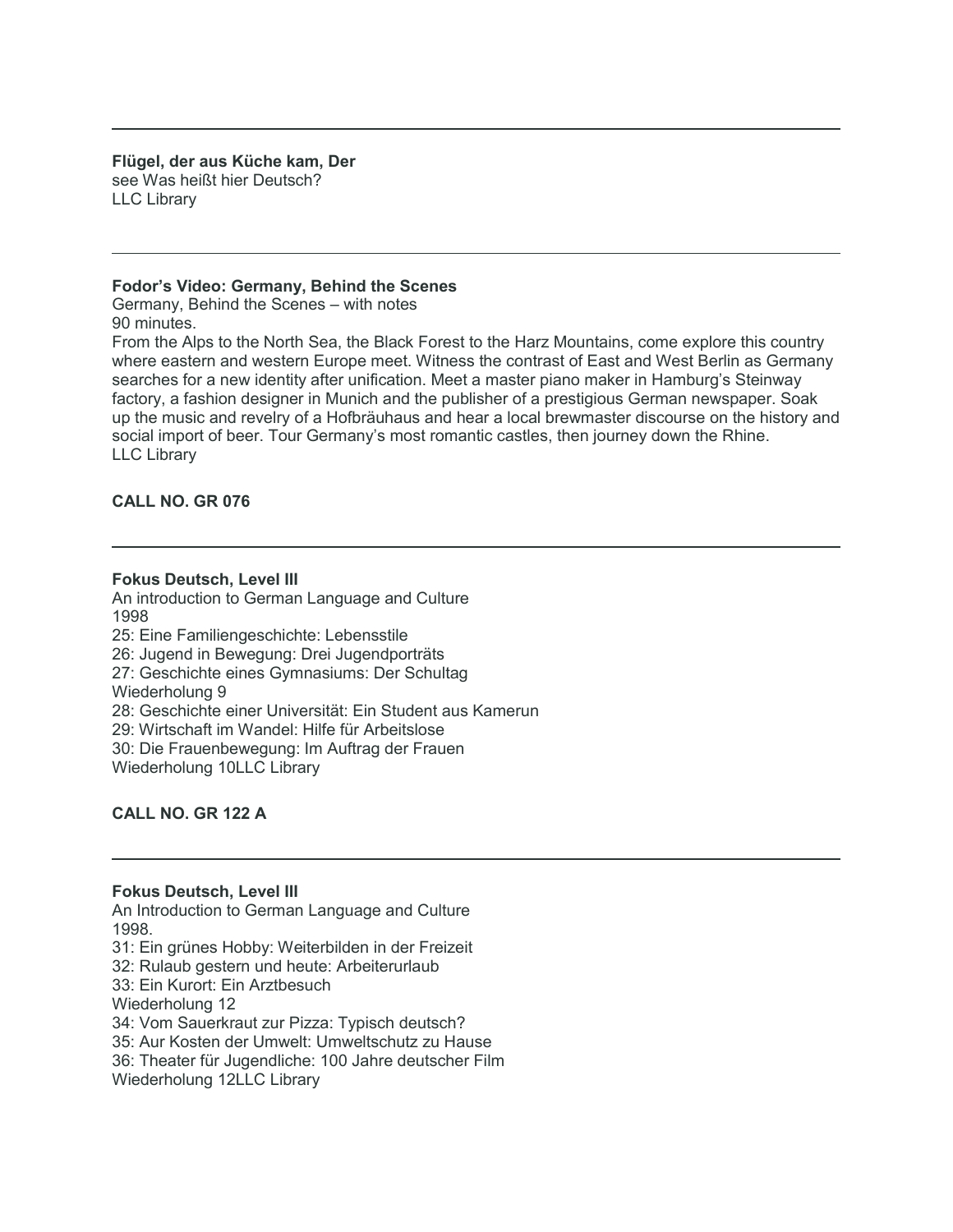**Flügel, der aus Küche kam, Der** see Was heißt hier Deutsch? LLC Library

#### **Fodor's Video: Germany, Behind the Scenes**

Germany, Behind the Scenes – with notes 90 minutes.

From the Alps to the North Sea, the Black Forest to the Harz Mountains, come explore this country where eastern and western Europe meet. Witness the contrast of East and West Berlin as Germany searches for a new identity after unification. Meet a master piano maker in Hamburg's Steinway factory, a fashion designer in Munich and the publisher of a prestigious German newspaper. Soak up the music and revelry of a Hofbräuhaus and hear a local brewmaster discourse on the history and social import of beer. Tour Germany's most romantic castles, then journey down the Rhine. LLC Library

# **CALL NO. GR 076**

#### **Fokus Deutsch, Level III**

An introduction to German Language and Culture 1998 25: Eine Familiengeschichte: Lebensstile 26: Jugend in Bewegung: Drei Jugendporträts 27: Geschichte eines Gymnasiums: Der Schultag Wiederholung 9 28: Geschichte einer Universität: Ein Student aus Kamerun 29: Wirtschaft im Wandel: Hilfe für Arbeitslose 30: Die Frauenbewegung: Im Auftrag der Frauen Wiederholung 10LLC Library

# **CALL NO. GR 122 A**

#### **Fokus Deutsch, Level III**

An Introduction to German Language and Culture 1998.

- 31: Ein grünes Hobby: Weiterbilden in der Freizeit
- 32: Rulaub gestern und heute: Arbeiterurlaub
- 33: Ein Kurort: Ein Arztbesuch
- Wiederholung 12
- 34: Vom Sauerkraut zur Pizza: Typisch deutsch?
- 35: Aur Kosten der Umwelt: Umweltschutz zu Hause
- 36: Theater für Jugendliche: 100 Jahre deutscher Film
- Wiederholung 12LLC Library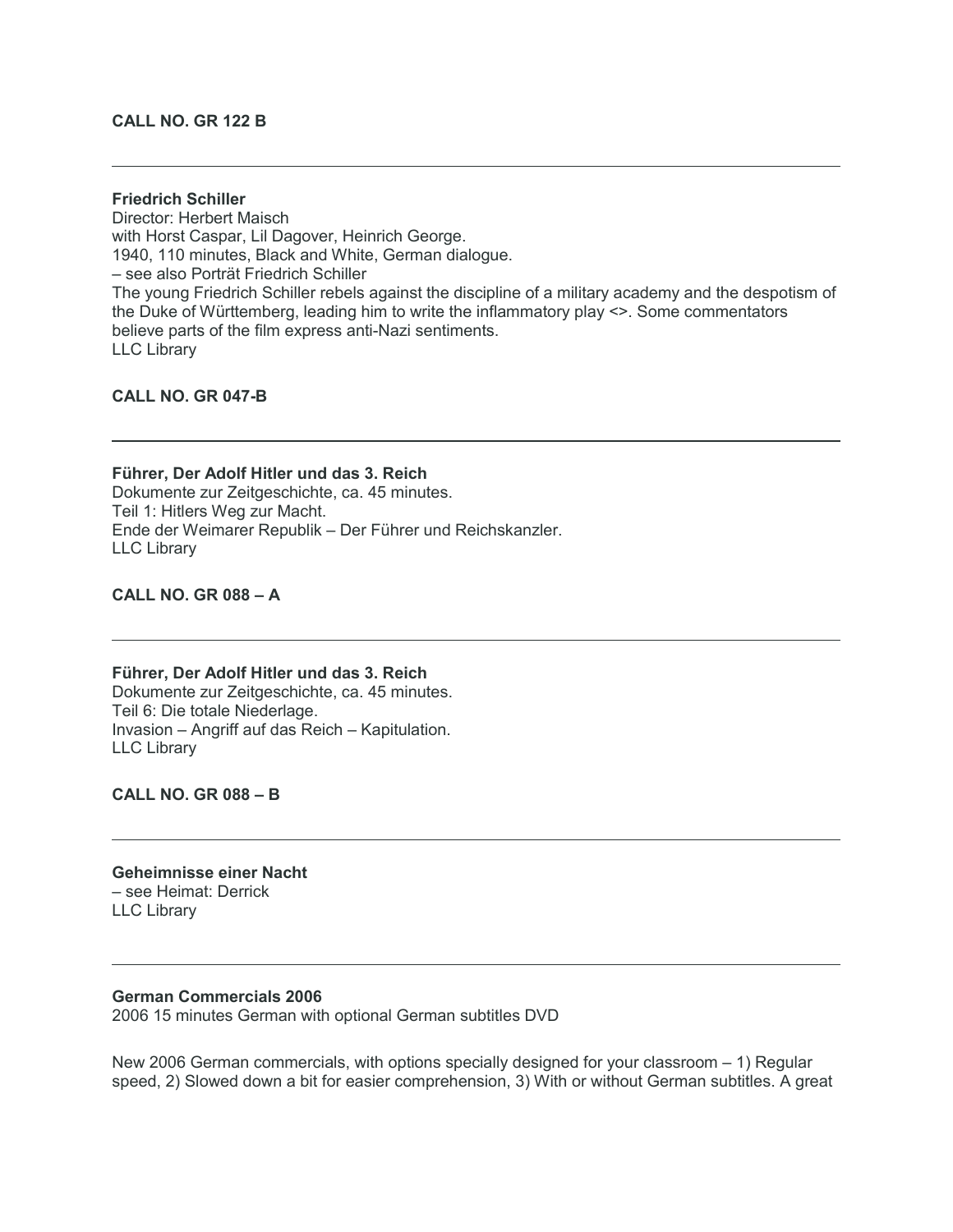# **CALL NO. GR 122 B**

#### **Friedrich Schiller**

Director: Herbert Maisch with Horst Caspar, Lil Dagover, Heinrich George. 1940, 110 minutes, Black and White, German dialogue. – see also Porträt Friedrich Schiller The young Friedrich Schiller rebels against the discipline of a military academy and the despotism of the Duke of Württemberg, leading him to write the inflammatory play <>. Some commentators believe parts of the film express anti-Nazi sentiments. LLC Library

**CALL NO. GR 047-B**

#### **Führer, Der Adolf Hitler und das 3. Reich**

Dokumente zur Zeitgeschichte, ca. 45 minutes. Teil 1: Hitlers Weg zur Macht. Ende der Weimarer Republik – Der Führer und Reichskanzler. LLC Library

**CALL NO. GR 088 – A**

#### **Führer, Der Adolf Hitler und das 3. Reich**

Dokumente zur Zeitgeschichte, ca. 45 minutes. Teil 6: Die totale Niederlage. Invasion – Angriff auf das Reich – Kapitulation. LLC Library

**CALL NO. GR 088 – B**

**Geheimnisse einer Nacht** – see Heimat: Derrick LLC Library

#### **German Commercials 2006**

2006 15 minutes German with optional German subtitles DVD

New 2006 German commercials, with options specially designed for your classroom  $-1$ ) Regular speed, 2) Slowed down a bit for easier comprehension, 3) With or without German subtitles. A great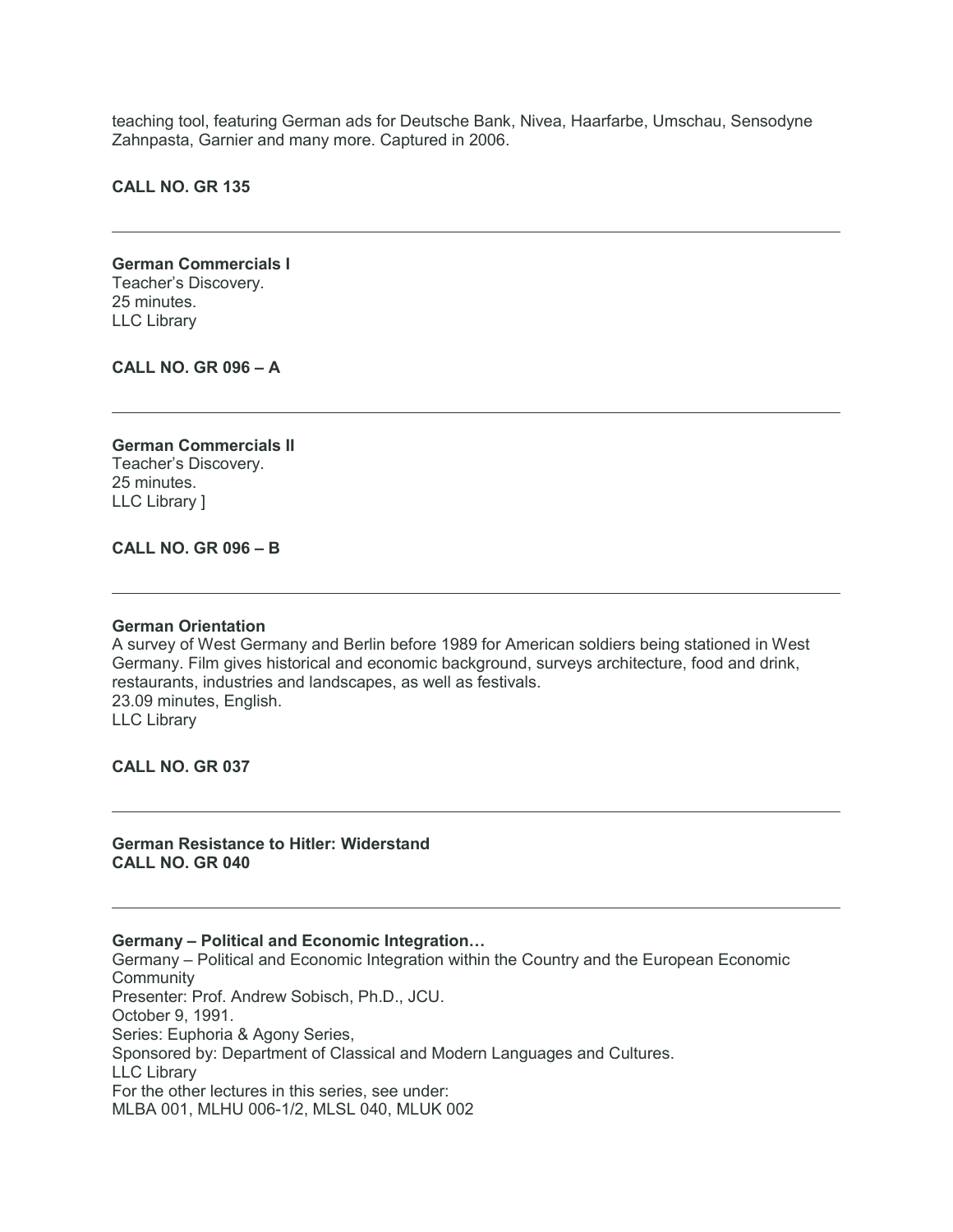teaching tool, featuring German ads for Deutsche Bank, Nivea, Haarfarbe, Umschau, Sensodyne Zahnpasta, Garnier and many more. Captured in 2006.

**CALL NO. GR 135**

**German Commercials I** Teacher's Discovery. 25 minutes. LLC Library

**CALL NO. GR 096 – A**

**German Commercials II** Teacher's Discovery. 25 minutes. LLC Library ]

# **CALL NO. GR 096 – B**

#### **German Orientation**

A survey of West Germany and Berlin before 1989 for American soldiers being stationed in West Germany. Film gives historical and economic background, surveys architecture, food and drink, restaurants, industries and landscapes, as well as festivals. 23.09 minutes, English. LLC Library

**CALL NO. GR 037**

**German Resistance to Hitler: Widerstand CALL NO. GR 040**

**Germany – Political and Economic Integration…**

Germany – Political and Economic Integration within the Country and the European Economic **Community** Presenter: Prof. Andrew Sobisch, Ph.D., JCU. October 9, 1991. Series: Euphoria & Agony Series, Sponsored by: Department of Classical and Modern Languages and Cultures. LLC Library For the other lectures in this series, see under: MLBA 001, MLHU 006-1/2, MLSL 040, MLUK 002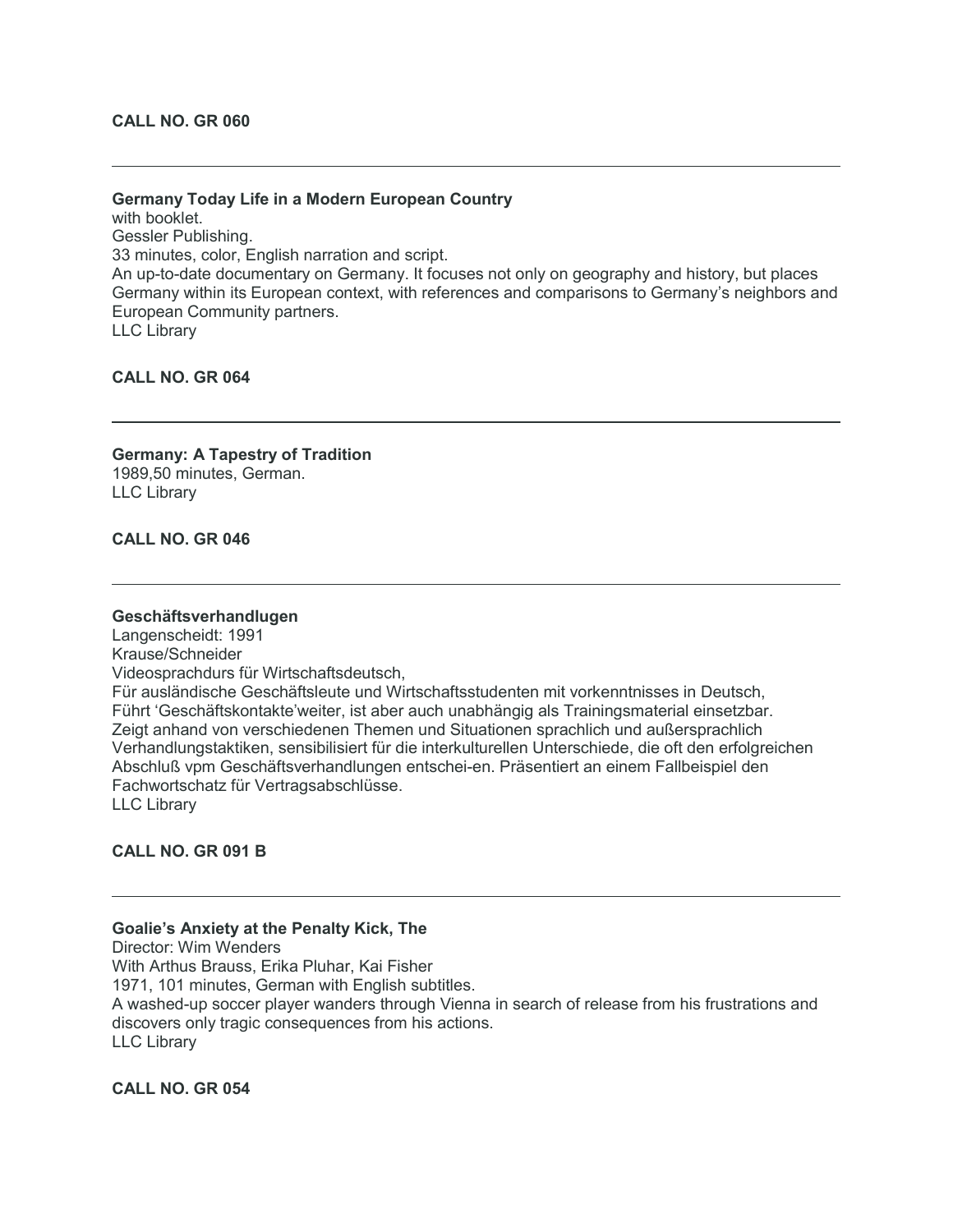# **Germany Today Life in a Modern European Country**

with booklet. Gessler Publishing. 33 minutes, color, English narration and script. An up-to-date documentary on Germany. It focuses not only on geography and history, but places Germany within its European context, with references and comparisons to Germany's neighbors and European Community partners. LLC Library

**CALL NO. GR 064**

**Germany: A Tapestry of Tradition** 1989,50 minutes, German. LLC Library

**CALL NO. GR 046**

#### **Geschäftsverhandlugen**

Langenscheidt: 1991 Krause/Schneider Videosprachdurs für Wirtschaftsdeutsch, Für ausländische Geschäftsleute und Wirtschaftsstudenten mit vorkenntnisses in Deutsch, Führt 'Geschäftskontakte'weiter, ist aber auch unabhängig als Trainingsmaterial einsetzbar. Zeigt anhand von verschiedenen Themen und Situationen sprachlich und außersprachlich Verhandlungstaktiken, sensibilisiert für die interkulturellen Unterschiede, die oft den erfolgreichen Abschluß vpm Geschäftsverhandlungen entschei-en. Präsentiert an einem Fallbeispiel den Fachwortschatz für Vertragsabschlüsse. LLC Library

## **CALL NO. GR 091 B**

#### **Goalie's Anxiety at the Penalty Kick, The**

Director: Wim Wenders With Arthus Brauss, Erika Pluhar, Kai Fisher 1971, 101 minutes, German with English subtitles. A washed-up soccer player wanders through Vienna in search of release from his frustrations and discovers only tragic consequences from his actions. LLC Library

**CALL NO. GR 054**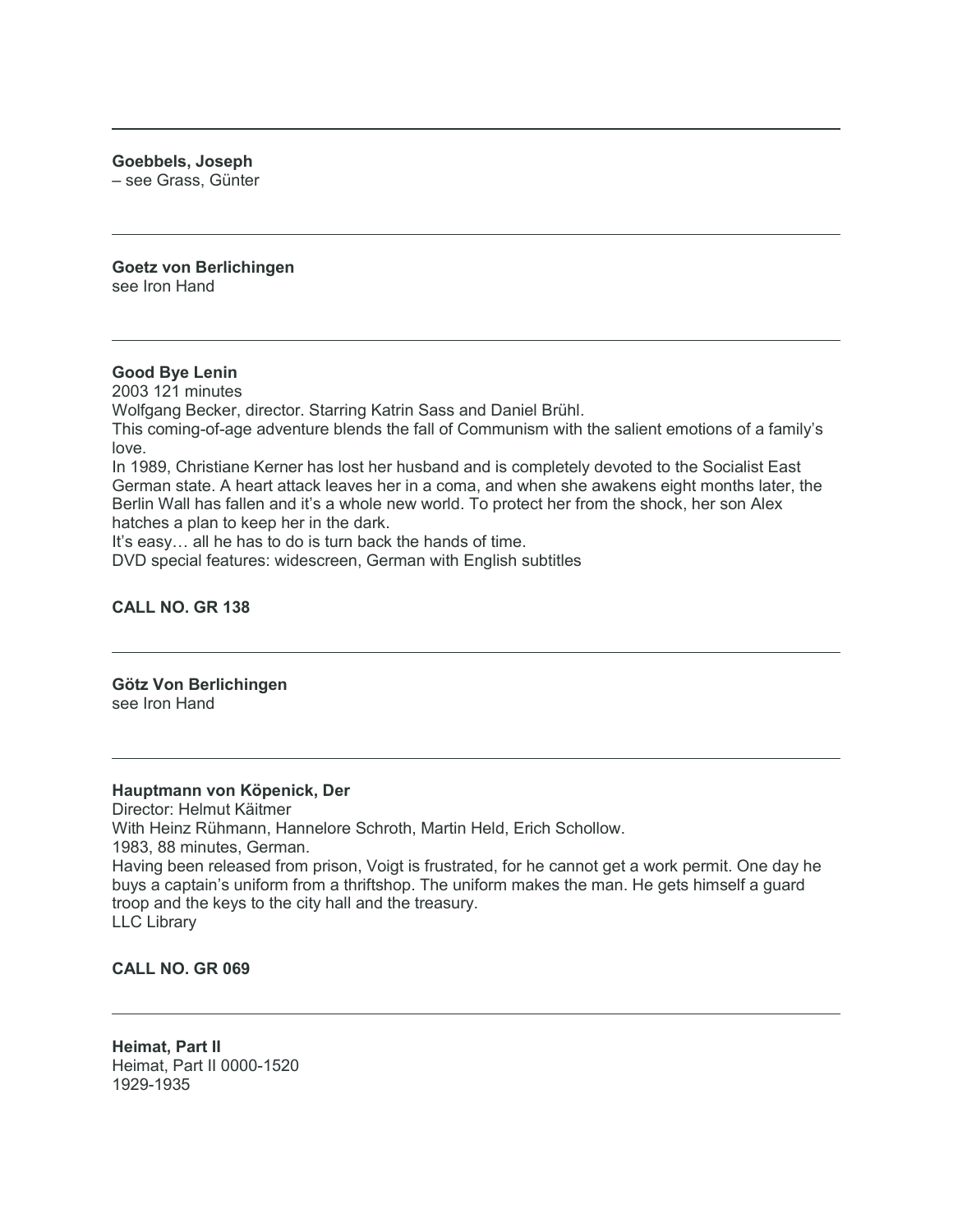**Goebbels, Joseph**

– see Grass, Günter

**Goetz von Berlichingen** see Iron Hand

# **Good Bye Lenin**

2003 121 minutes Wolfgang Becker, director. Starring Katrin Sass and Daniel Brühl. This coming-of-age adventure blends the fall of Communism with the salient emotions of a family's love. In 1989, Christiane Kerner has lost her husband and is completely devoted to the Socialist East German state. A heart attack leaves her in a coma, and when she awakens eight months later, the Berlin Wall has fallen and it's a whole new world. To protect her from the shock, her son Alex hatches a plan to keep her in the dark. It's easy… all he has to do is turn back the hands of time.

DVD special features: widescreen, German with English subtitles

# **CALL NO. GR 138**

#### **Götz Von Berlichingen** see Iron Hand

#### **Hauptmann von Köpenick, Der**

Director: Helmut Käitmer With Heinz Rühmann, Hannelore Schroth, Martin Held, Erich Schollow. 1983, 88 minutes, German. Having been released from prison, Voigt is frustrated, for he cannot get a work permit. One day he buys a captain's uniform from a thriftshop. The uniform makes the man. He gets himself a guard troop and the keys to the city hall and the treasury. LLC Library

# **CALL NO. GR 069**

**Heimat, Part II** Heimat, Part II 0000-1520 1929-1935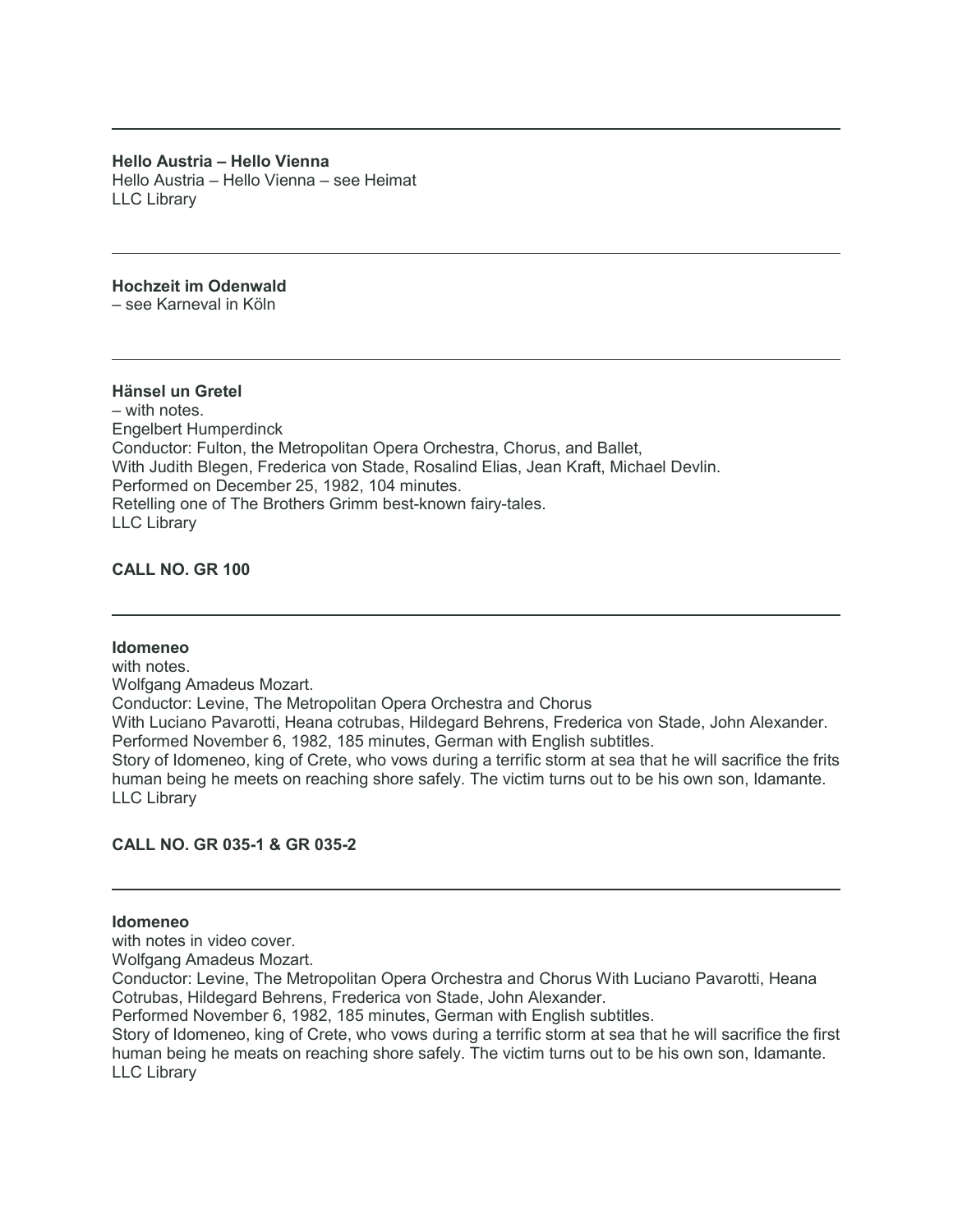**Hello Austria – Hello Vienna** Hello Austria – Hello Vienna – see Heimat LLC Library

# **Hochzeit im Odenwald**

– see Karneval in Köln

# **Hänsel un Gretel**

– with notes. Engelbert Humperdinck Conductor: Fulton, the Metropolitan Opera Orchestra, Chorus, and Ballet, With Judith Blegen, Frederica von Stade, Rosalind Elias, Jean Kraft, Michael Devlin. Performed on December 25, 1982, 104 minutes. Retelling one of The Brothers Grimm best-known fairy-tales. LLC Library

# **CALL NO. GR 100**

#### **Idomeneo**

with notes. Wolfgang Amadeus Mozart. Conductor: Levine, The Metropolitan Opera Orchestra and Chorus With Luciano Pavarotti, Heana cotrubas, Hildegard Behrens, Frederica von Stade, John Alexander. Performed November 6, 1982, 185 minutes, German with English subtitles. Story of Idomeneo, king of Crete, who vows during a terrific storm at sea that he will sacrifice the frits human being he meets on reaching shore safely. The victim turns out to be his own son, Idamante. LLC Library

#### **CALL NO. GR 035-1 & GR 035-2**

# **Idomeneo**

with notes in video cover.

Wolfgang Amadeus Mozart.

Conductor: Levine, The Metropolitan Opera Orchestra and Chorus With Luciano Pavarotti, Heana Cotrubas, Hildegard Behrens, Frederica von Stade, John Alexander.

Performed November 6, 1982, 185 minutes, German with English subtitles.

Story of Idomeneo, king of Crete, who vows during a terrific storm at sea that he will sacrifice the first human being he meats on reaching shore safely. The victim turns out to be his own son, Idamante. LLC Library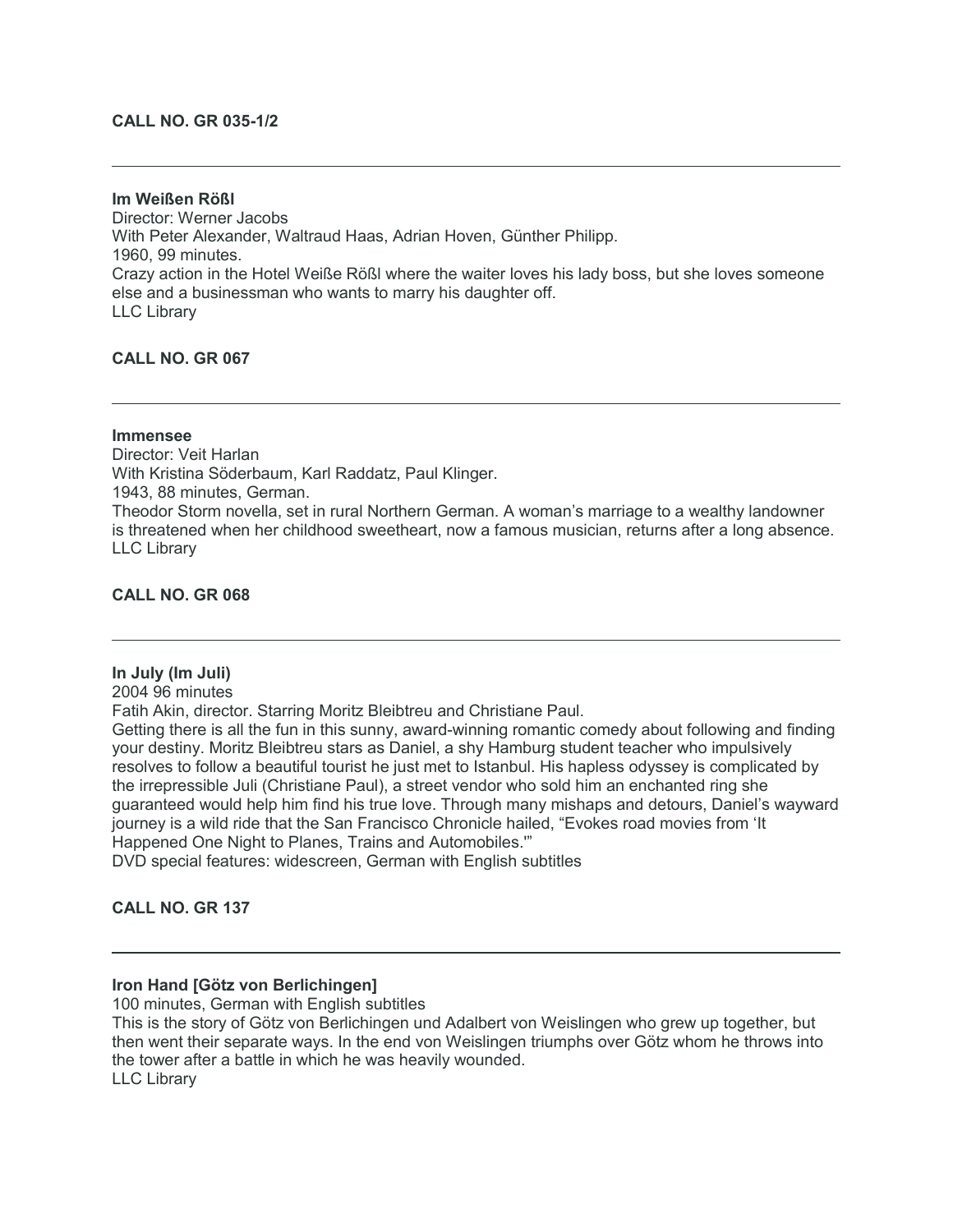### **CALL NO. GR 035-1/2**

**Im Weißen Rößl** Director: Werner Jacobs With Peter Alexander, Waltraud Haas, Adrian Hoven, Günther Philipp. 1960, 99 minutes. Crazy action in the Hotel Weiße Rößl where the waiter loves his lady boss, but she loves someone else and a businessman who wants to marry his daughter off. LLC Library

**CALL NO. GR 067**

# **Immensee**

Director: Veit Harlan With Kristina Söderbaum, Karl Raddatz, Paul Klinger. 1943, 88 minutes, German. Theodor Storm novella, set in rural Northern German. A woman's marriage to a wealthy landowner is threatened when her childhood sweetheart, now a famous musician, returns after a long absence. LLC Library

#### **CALL NO. GR 068**

#### **In July (Im Juli)**

2004 96 minutes

Fatih Akin, director. Starring Moritz Bleibtreu and Christiane Paul.

Getting there is all the fun in this sunny, award-winning romantic comedy about following and finding your destiny. Moritz Bleibtreu stars as Daniel, a shy Hamburg student teacher who impulsively resolves to follow a beautiful tourist he just met to Istanbul. His hapless odyssey is complicated by the irrepressible Juli (Christiane Paul), a street vendor who sold him an enchanted ring she guaranteed would help him find his true love. Through many mishaps and detours, Daniel's wayward journey is a wild ride that the San Francisco Chronicle hailed, "Evokes road movies from 'It Happened One Night to Planes, Trains and Automobiles.'"

DVD special features: widescreen, German with English subtitles

**CALL NO. GR 137**

## **Iron Hand [Götz von Berlichingen]**

100 minutes, German with English subtitles This is the story of Götz von Berlichingen und Adalbert von Weislingen who grew up together, but then went their separate ways. In the end von Weislingen triumphs over Götz whom he throws into the tower after a battle in which he was heavily wounded. LLC Library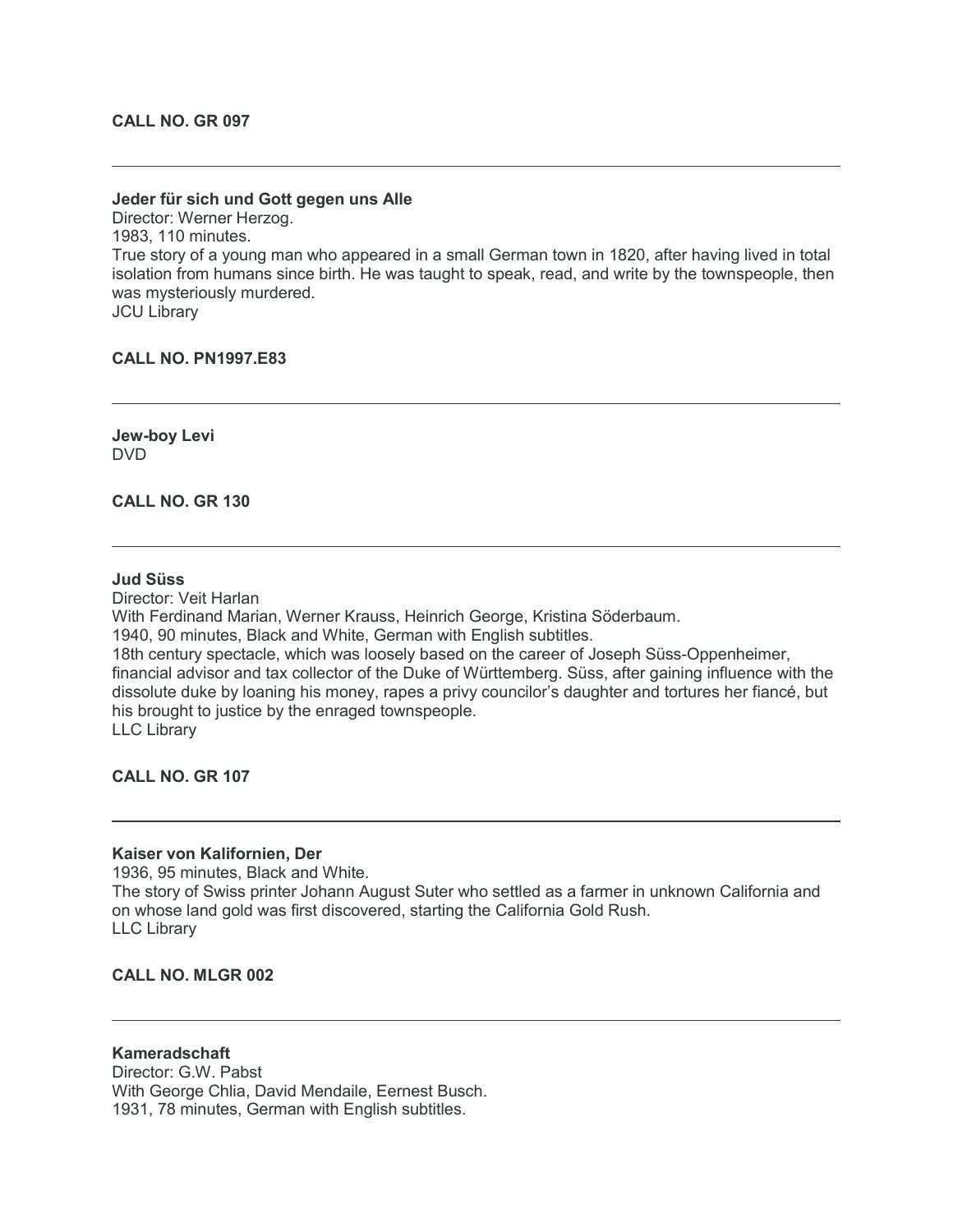#### **Jeder für sich und Gott gegen uns Alle**

Director: Werner Herzog. 1983, 110 minutes. True story of a young man who appeared in a small German town in 1820, after having lived in total isolation from humans since birth. He was taught to speak, read, and write by the townspeople, then was mysteriously murdered. JCU Library

#### **CALL NO. PN1997.E83**

**Jew-boy Levi** DVD

**CALL NO. GR 130**

#### **Jud Süss**

Director: Veit Harlan With Ferdinand Marian, Werner Krauss, Heinrich George, Kristina Söderbaum. 1940, 90 minutes, Black and White, German with English subtitles. 18th century spectacle, which was loosely based on the career of Joseph Süss-Oppenheimer, financial advisor and tax collector of the Duke of Württemberg. Süss, after gaining influence with the dissolute duke by loaning his money, rapes a privy councilor's daughter and tortures her fiancé, but his brought to justice by the enraged townspeople. LLC Library

**CALL NO. GR 107**

#### **Kaiser von Kalifornien, Der**

1936, 95 minutes, Black and White. The story of Swiss printer Johann August Suter who settled as a farmer in unknown California and on whose land gold was first discovered, starting the California Gold Rush. LLC Library

# **CALL NO. MLGR 002**

**Kameradschaft** Director: G.W. Pabst With George Chlia, David Mendaile, Eernest Busch. 1931, 78 minutes, German with English subtitles.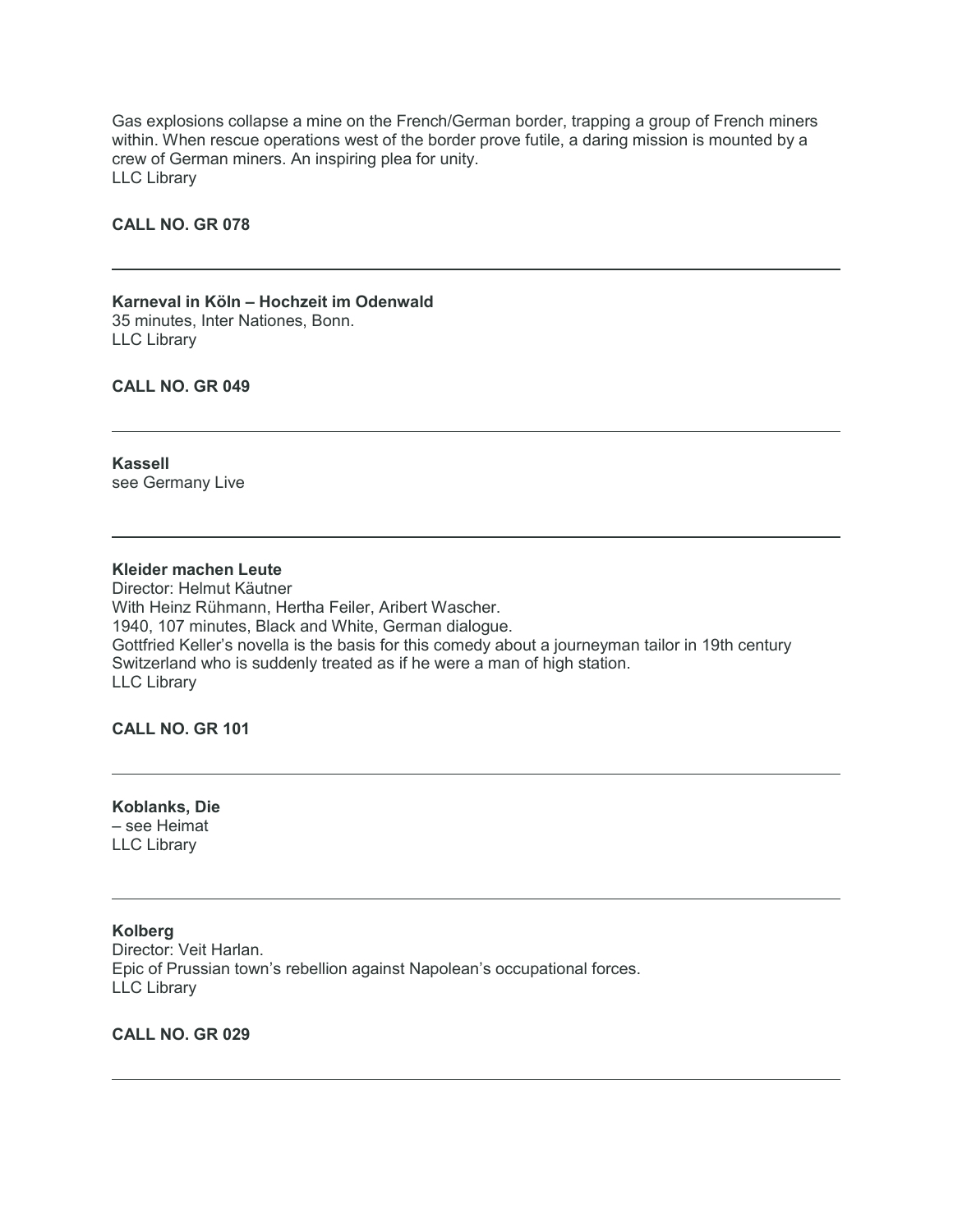Gas explosions collapse a mine on the French/German border, trapping a group of French miners within. When rescue operations west of the border prove futile, a daring mission is mounted by a crew of German miners. An inspiring plea for unity. LLC Library

# **CALL NO. GR 078**

#### **Karneval in Köln – Hochzeit im Odenwald** 35 minutes, Inter Nationes, Bonn. LLC Library

# **CALL NO. GR 049**

**Kassell** see Germany Live

# **Kleider machen Leute**

Director: Helmut Käutner With Heinz Rühmann, Hertha Feiler, Aribert Wascher. 1940, 107 minutes, Black and White, German dialogue. Gottfried Keller's novella is the basis for this comedy about a journeyman tailor in 19th century Switzerland who is suddenly treated as if he were a man of high station. LLC Library

**CALL NO. GR 101**

**Koblanks, Die** – see Heimat LLC Library

**Kolberg** Director: Veit Harlan. Epic of Prussian town's rebellion against Napolean's occupational forces. LLC Library

# **CALL NO. GR 029**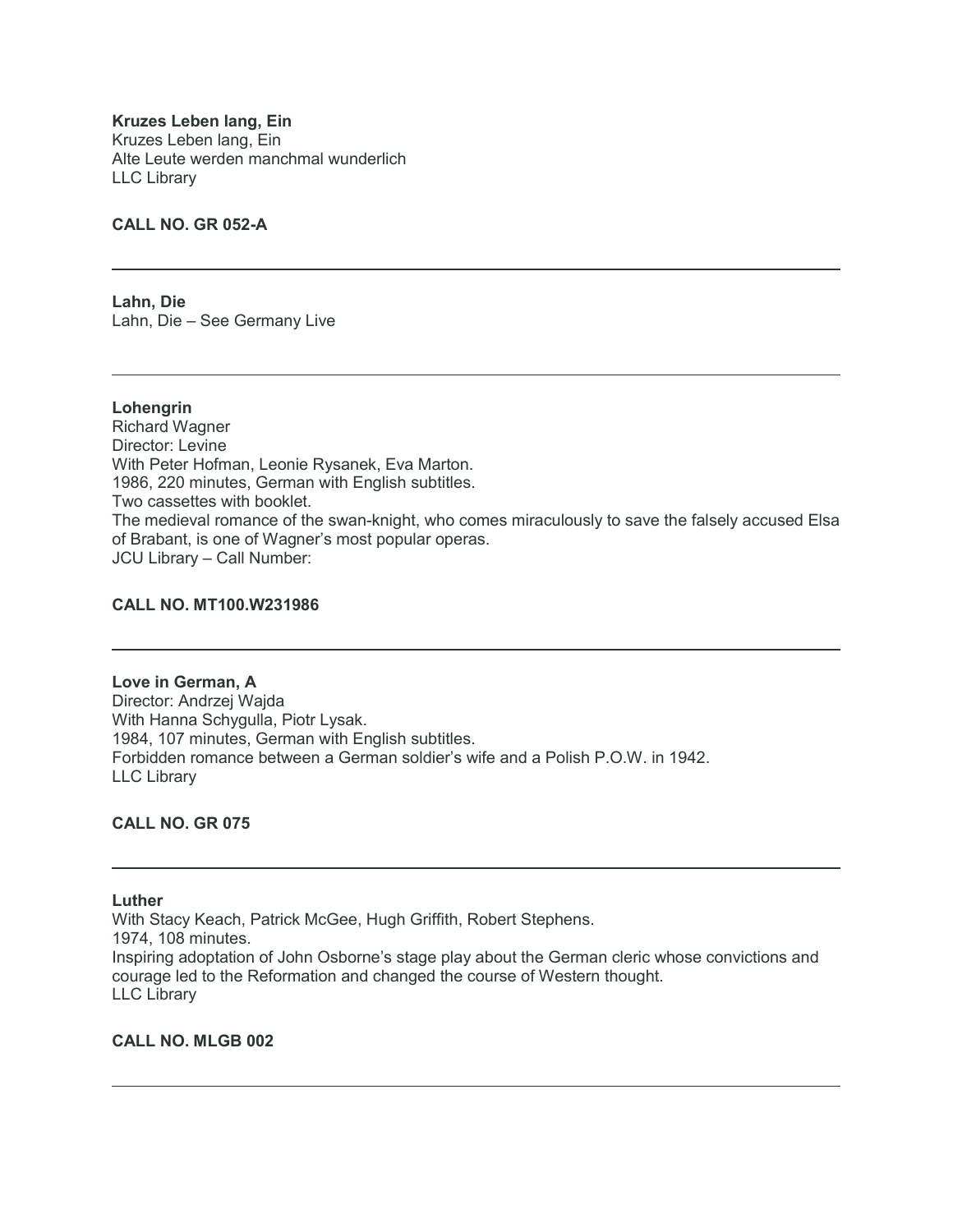**Kruzes Leben lang, Ein** Kruzes Leben lang, Ein Alte Leute werden manchmal wunderlich LLC Library

# **CALL NO. GR 052-A**

**Lahn, Die** Lahn, Die – See Germany Live

**Lohengrin** Richard Wagner Director: Levine With Peter Hofman, Leonie Rysanek, Eva Marton. 1986, 220 minutes, German with English subtitles. Two cassettes with booklet. The medieval romance of the swan-knight, who comes miraculously to save the falsely accused Elsa of Brabant, is one of Wagner's most popular operas. JCU Library – Call Number:

#### **CALL NO. MT100.W231986**

**Love in German, A** Director: Andrzej Wajda With Hanna Schygulla, Piotr Lysak. 1984, 107 minutes, German with English subtitles. Forbidden romance between a German soldier's wife and a Polish P.O.W. in 1942. LLC Library

#### **CALL NO. GR 075**

# **Luther**

With Stacy Keach, Patrick McGee, Hugh Griffith, Robert Stephens. 1974, 108 minutes. Inspiring adoptation of John Osborne's stage play about the German cleric whose convictions and courage led to the Reformation and changed the course of Western thought. LLC Library

### **CALL NO. MLGB 002**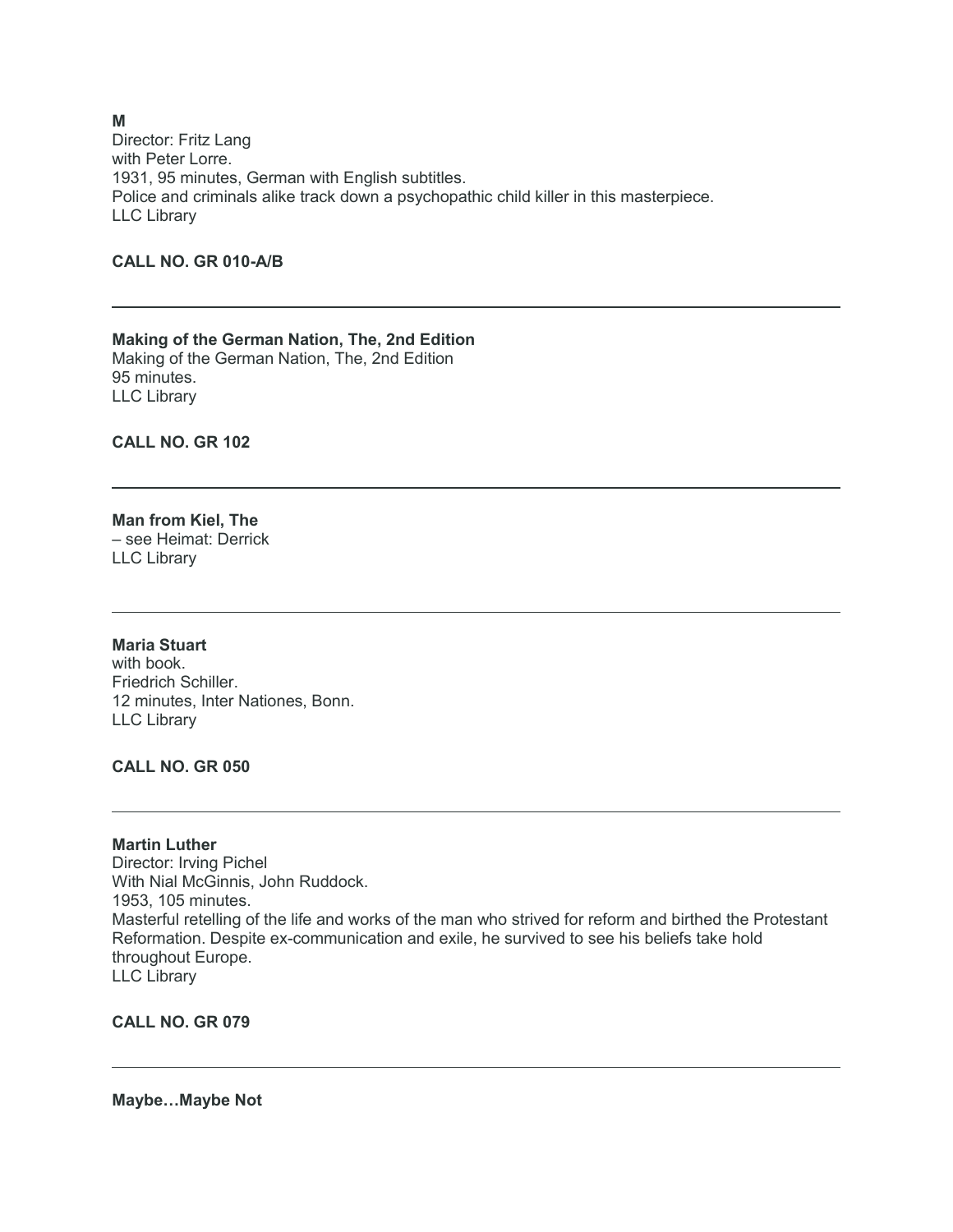Director: Fritz Lang with Peter Lorre. 1931, 95 minutes, German with English subtitles. Police and criminals alike track down a psychopathic child killer in this masterpiece. LLC Library

# **CALL NO. GR 010-A/B**

**Making of the German Nation, The, 2nd Edition** Making of the German Nation, The, 2nd Edition 95 minutes. LLC Library

**CALL NO. GR 102**

#### **Man from Kiel, The** – see Heimat: Derrick LLC Library

# **Maria Stuart**

with book. Friedrich Schiller. 12 minutes, Inter Nationes, Bonn. LLC Library

#### **CALL NO. GR 050**

**Martin Luther** Director: Irving Pichel With Nial McGinnis, John Ruddock. 1953, 105 minutes. Masterful retelling of the life and works of the man who strived for reform and birthed the Protestant Reformation. Despite ex-communication and exile, he survived to see his beliefs take hold throughout Europe. LLC Library

**CALL NO. GR 079**

**Maybe…Maybe Not**

#### **M**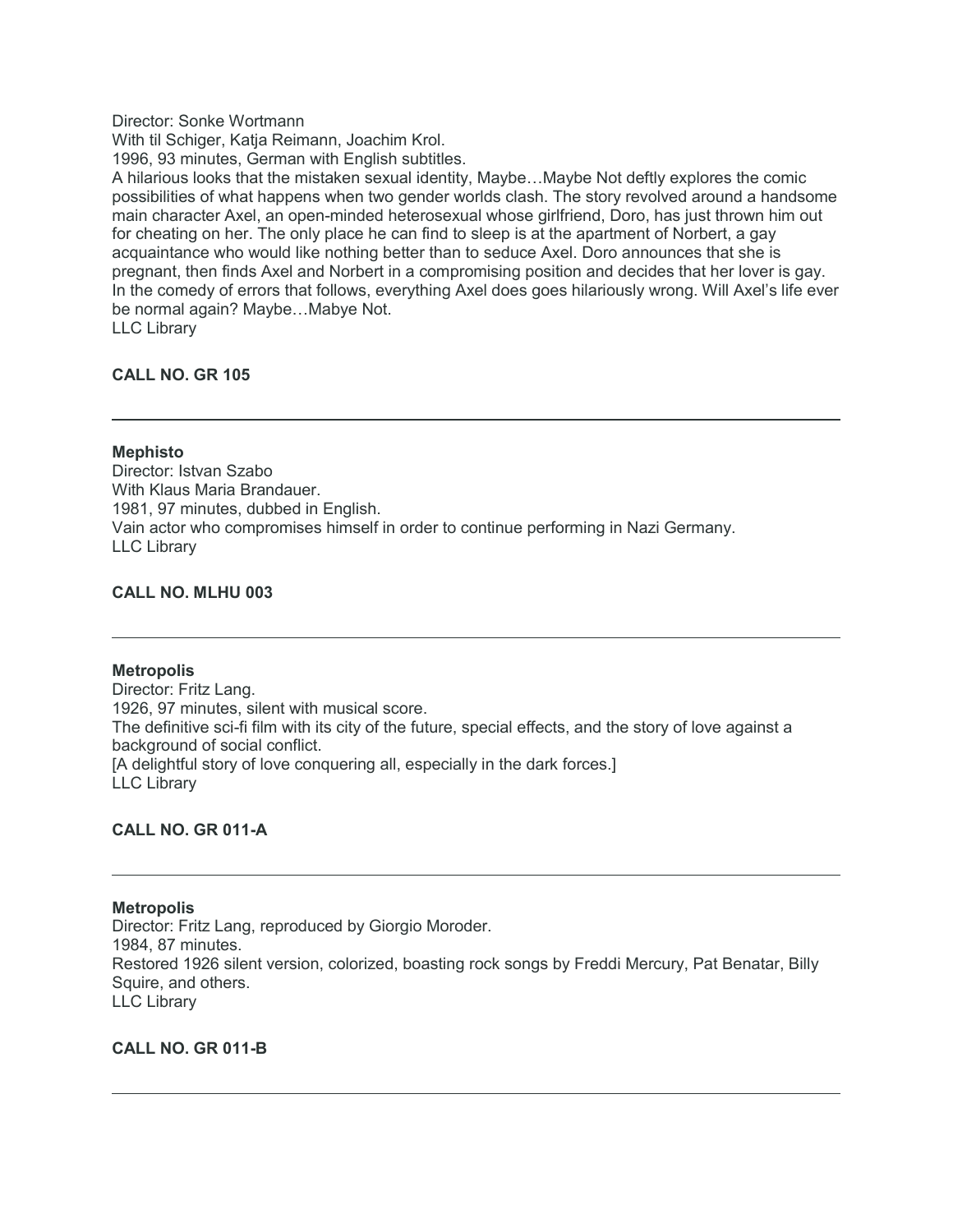Director: Sonke Wortmann

With til Schiger, Katja Reimann, Joachim Krol.

1996, 93 minutes, German with English subtitles.

A hilarious looks that the mistaken sexual identity, Maybe…Maybe Not deftly explores the comic possibilities of what happens when two gender worlds clash. The story revolved around a handsome main character Axel, an open-minded heterosexual whose girlfriend, Doro, has just thrown him out for cheating on her. The only place he can find to sleep is at the apartment of Norbert, a gay acquaintance who would like nothing better than to seduce Axel. Doro announces that she is pregnant, then finds Axel and Norbert in a compromising position and decides that her lover is gay. In the comedy of errors that follows, everything Axel does goes hilariously wrong. Will Axel's life ever be normal again? Maybe…Mabye Not. LLC Library

**CALL NO. GR 105**

**Mephisto** Director: Istvan Szabo With Klaus Maria Brandauer. 1981, 97 minutes, dubbed in English. Vain actor who compromises himself in order to continue performing in Nazi Germany. LLC Library

# **CALL NO. MLHU 003**

#### **Metropolis**

Director: Fritz Lang. 1926, 97 minutes, silent with musical score. The definitive sci-fi film with its city of the future, special effects, and the story of love against a background of social conflict. [A delightful story of love conquering all, especially in the dark forces.] LLC Library

# **CALL NO. GR 011-A**

#### **Metropolis**

Director: Fritz Lang, reproduced by Giorgio Moroder. 1984, 87 minutes. Restored 1926 silent version, colorized, boasting rock songs by Freddi Mercury, Pat Benatar, Billy Squire, and others. LLC Library

# **CALL NO. GR 011-B**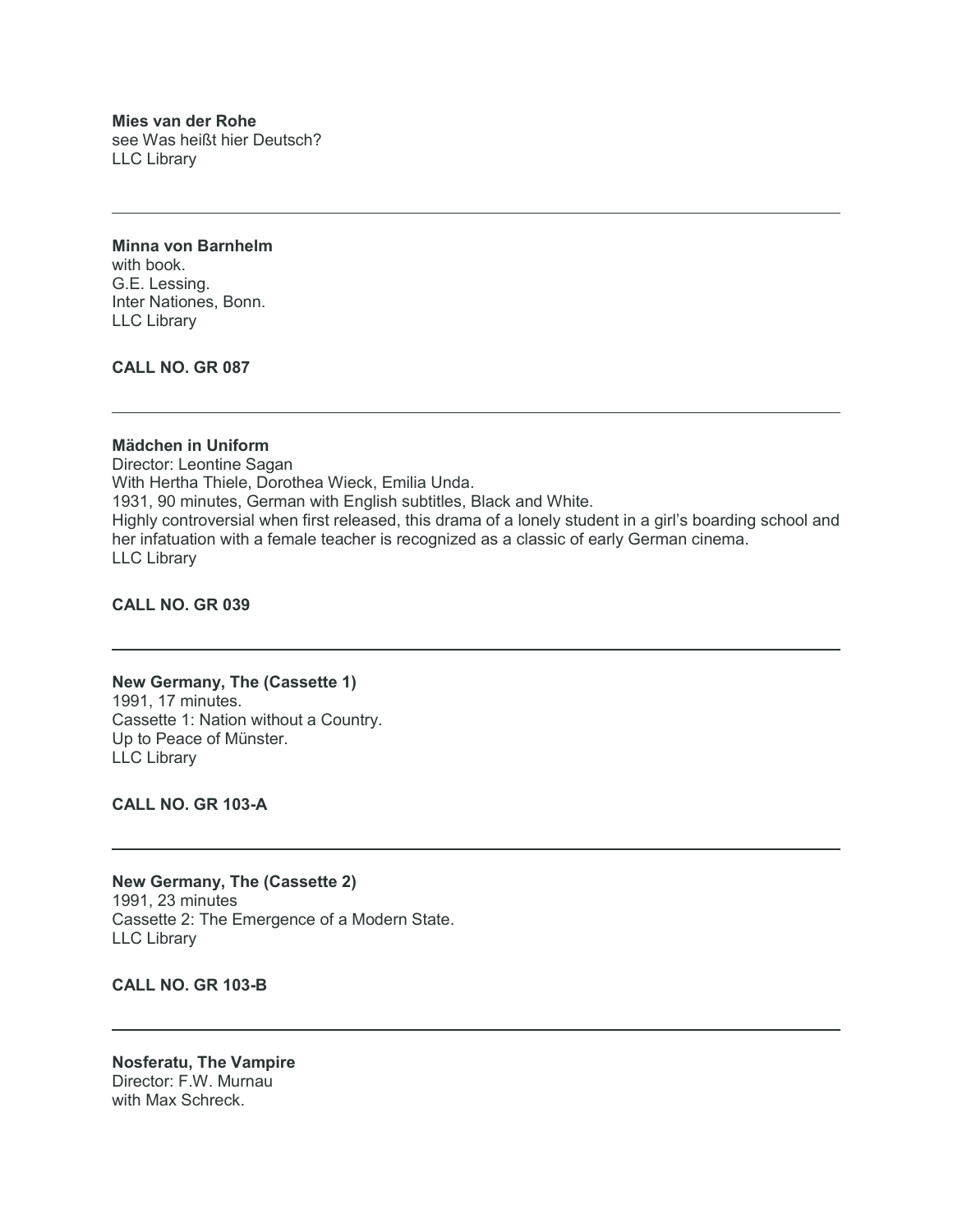**Mies van der Rohe** see Was heißt hier Deutsch? LLC Library

**Minna von Barnhelm** with book. G.E. Lessing. Inter Nationes, Bonn. LLC Library

**CALL NO. GR 087**

#### **Mädchen in Uniform**

Director: Leontine Sagan With Hertha Thiele, Dorothea Wieck, Emilia Unda. 1931, 90 minutes, German with English subtitles, Black and White. Highly controversial when first released, this drama of a lonely student in a girl's boarding school and her infatuation with a female teacher is recognized as a classic of early German cinema. LLC Library

**CALL NO. GR 039**

# **New Germany, The (Cassette 1)** 1991, 17 minutes. Cassette 1: Nation without a Country.

Up to Peace of Münster. LLC Library

**CALL NO. GR 103-A**

**New Germany, The (Cassette 2)** 1991, 23 minutes Cassette 2: The Emergence of a Modern State. LLC Library

**CALL NO. GR 103-B**

**Nosferatu, The Vampire** Director: F.W. Murnau with Max Schreck.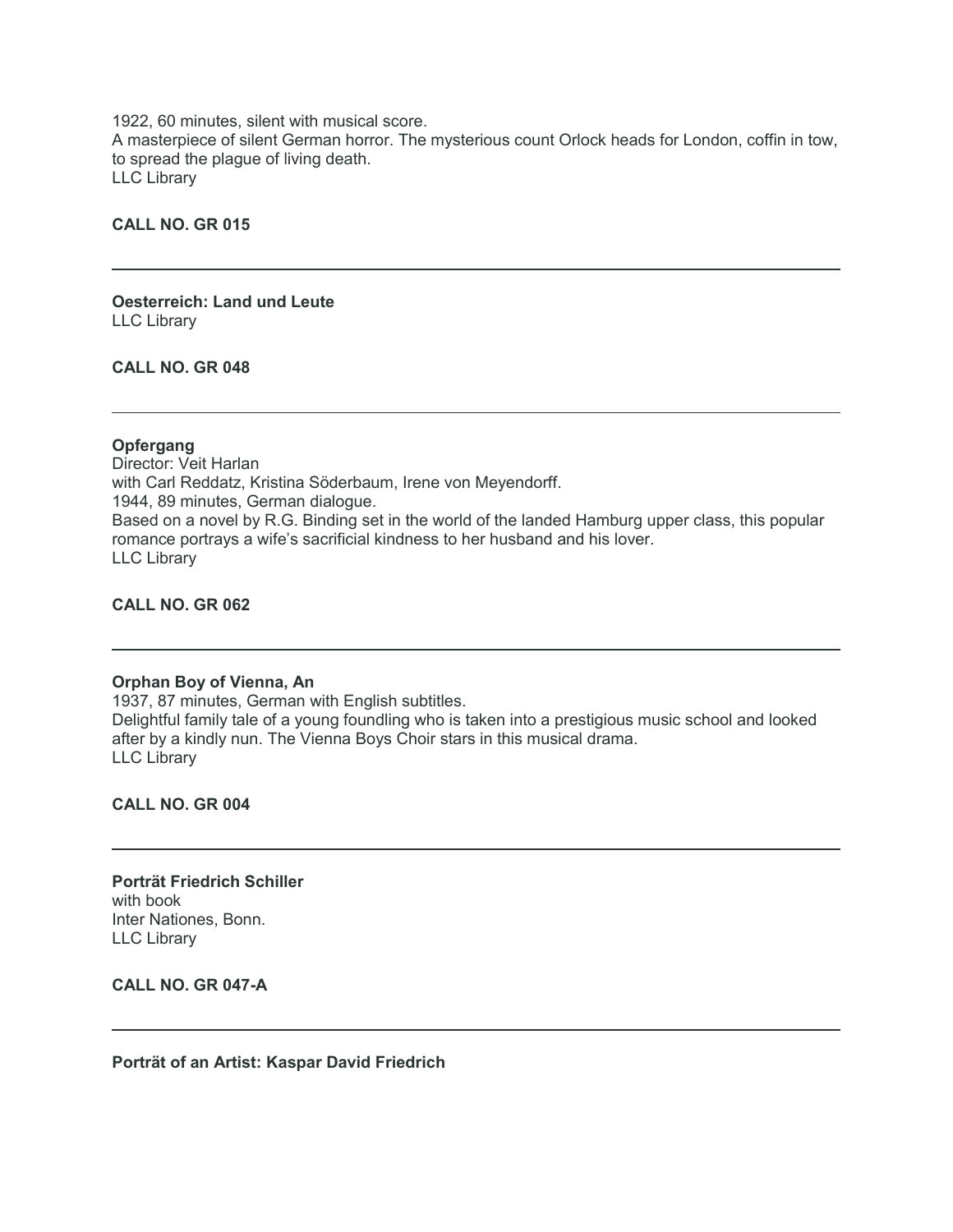1922, 60 minutes, silent with musical score. A masterpiece of silent German horror. The mysterious count Orlock heads for London, coffin in tow, to spread the plague of living death. LLC Library

### **CALL NO. GR 015**

**Oesterreich: Land und Leute** LLC Library

**CALL NO. GR 048**

#### **Opfergang**

Director: Veit Harlan with Carl Reddatz, Kristina Söderbaum, Irene von Meyendorff. 1944, 89 minutes, German dialogue. Based on a novel by R.G. Binding set in the world of the landed Hamburg upper class, this popular romance portrays a wife's sacrificial kindness to her husband and his lover. LLC Library

**CALL NO. GR 062**

#### **Orphan Boy of Vienna, An**

1937, 87 minutes, German with English subtitles. Delightful family tale of a young foundling who is taken into a prestigious music school and looked after by a kindly nun. The Vienna Boys Choir stars in this musical drama. LLC Library

**CALL NO. GR 004**

**Porträt Friedrich Schiller** with book Inter Nationes, Bonn. LLC Library

**CALL NO. GR 047-A**

**Porträt of an Artist: Kaspar David Friedrich**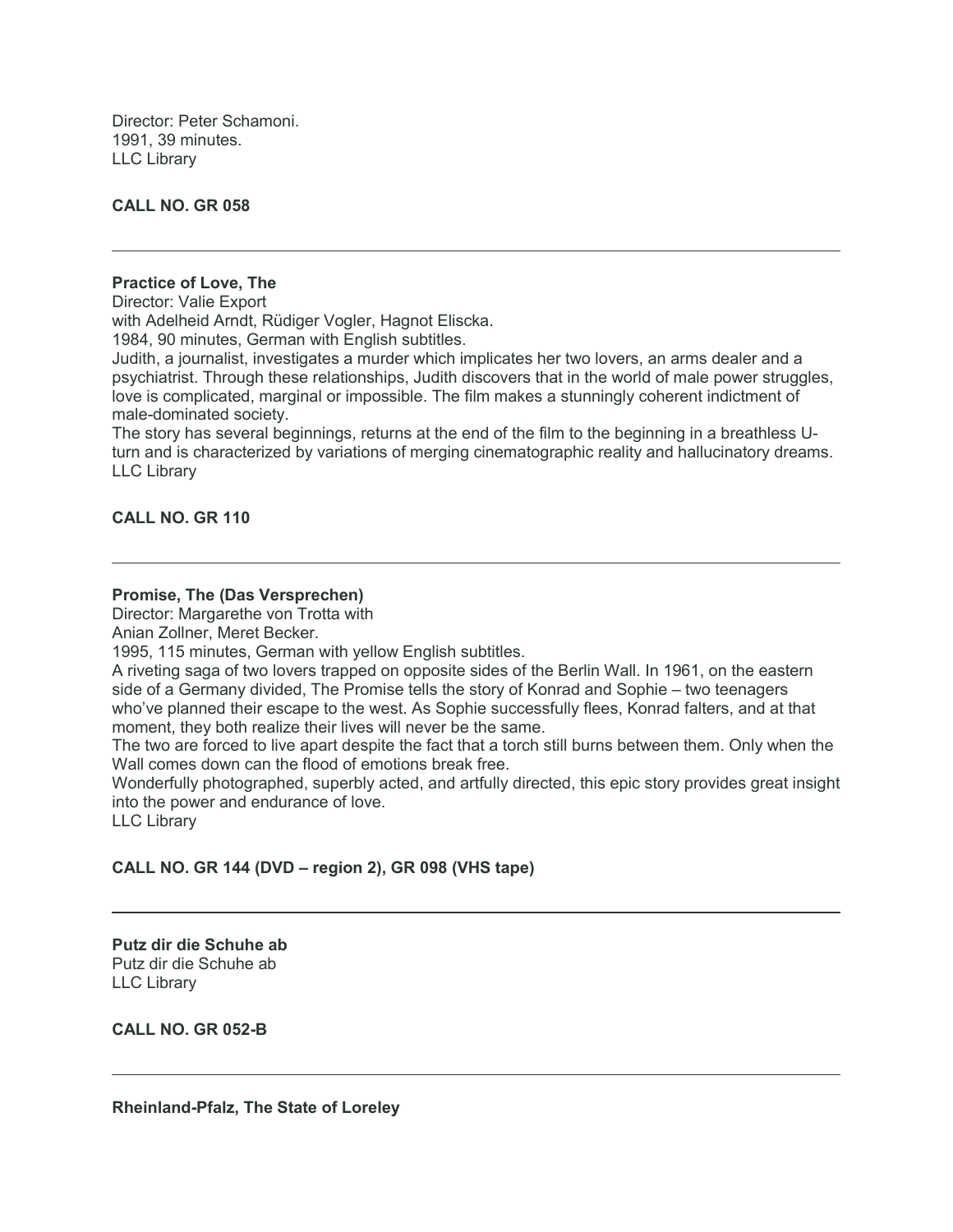Director: Peter Schamoni. 1991, 39 minutes. LLC Library

# **CALL NO. GR 058**

### **Practice of Love, The**

Director: Valie Export

with Adelheid Arndt, Rüdiger Vogler, Hagnot Eliscka.

1984, 90 minutes, German with English subtitles.

Judith, a journalist, investigates a murder which implicates her two lovers, an arms dealer and a psychiatrist. Through these relationships, Judith discovers that in the world of male power struggles, love is complicated, marginal or impossible. The film makes a stunningly coherent indictment of male-dominated society.

The story has several beginnings, returns at the end of the film to the beginning in a breathless Uturn and is characterized by variations of merging cinematographic reality and hallucinatory dreams. LLC Library

# **CALL NO. GR 110**

# **Promise, The (Das Versprechen)**

Director: Margarethe von Trotta with

Anian Zollner, Meret Becker.

1995, 115 minutes, German with yellow English subtitles.

A riveting saga of two lovers trapped on opposite sides of the Berlin Wall. In 1961, on the eastern side of a Germany divided, The Promise tells the story of Konrad and Sophie – two teenagers who've planned their escape to the west. As Sophie successfully flees, Konrad falters, and at that moment, they both realize their lives will never be the same.

The two are forced to live apart despite the fact that a torch still burns between them. Only when the Wall comes down can the flood of emotions break free.

Wonderfully photographed, superbly acted, and artfully directed, this epic story provides great insight into the power and endurance of love.

LLC Library

# **CALL NO. GR 144 (DVD – region 2), GR 098 (VHS tape)**

**Putz dir die Schuhe ab** Putz dir die Schuhe ab LLC Library

**CALL NO. GR 052-B**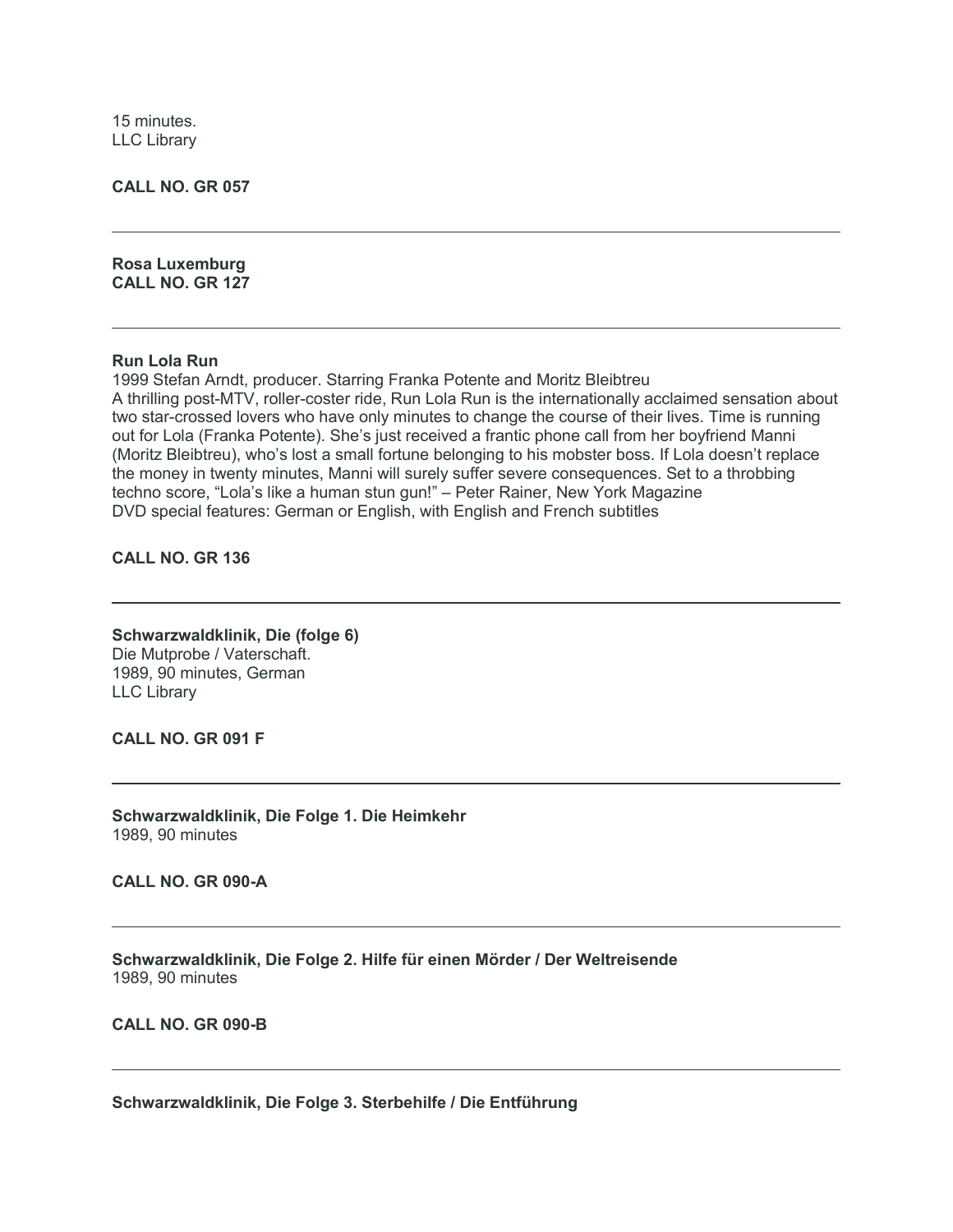15 minutes. LLC Library

**CALL NO. GR 057**

**Rosa Luxemburg CALL NO. GR 127**

#### **Run Lola Run**

1999 Stefan Arndt, producer. Starring Franka Potente and Moritz Bleibtreu A thrilling post-MTV, roller-coster ride, Run Lola Run is the internationally acclaimed sensation about two star-crossed lovers who have only minutes to change the course of their lives. Time is running out for Lola (Franka Potente). She's just received a frantic phone call from her boyfriend Manni (Moritz Bleibtreu), who's lost a small fortune belonging to his mobster boss. If Lola doesn't replace the money in twenty minutes, Manni will surely suffer severe consequences. Set to a throbbing techno score, "Lola's like a human stun gun!" – Peter Rainer, New York Magazine DVD special features: German or English, with English and French subtitles

**CALL NO. GR 136**

**Schwarzwaldklinik, Die (folge 6)** Die Mutprobe / Vaterschaft. 1989, 90 minutes, German LLC Library

**CALL NO. GR 091 F**

**Schwarzwaldklinik, Die Folge 1. Die Heimkehr** 1989, 90 minutes

**CALL NO. GR 090-A**

**Schwarzwaldklinik, Die Folge 2. Hilfe für einen Mörder / Der Weltreisende** 1989, 90 minutes

**CALL NO. GR 090-B**

**Schwarzwaldklinik, Die Folge 3. Sterbehilfe / Die Entführung**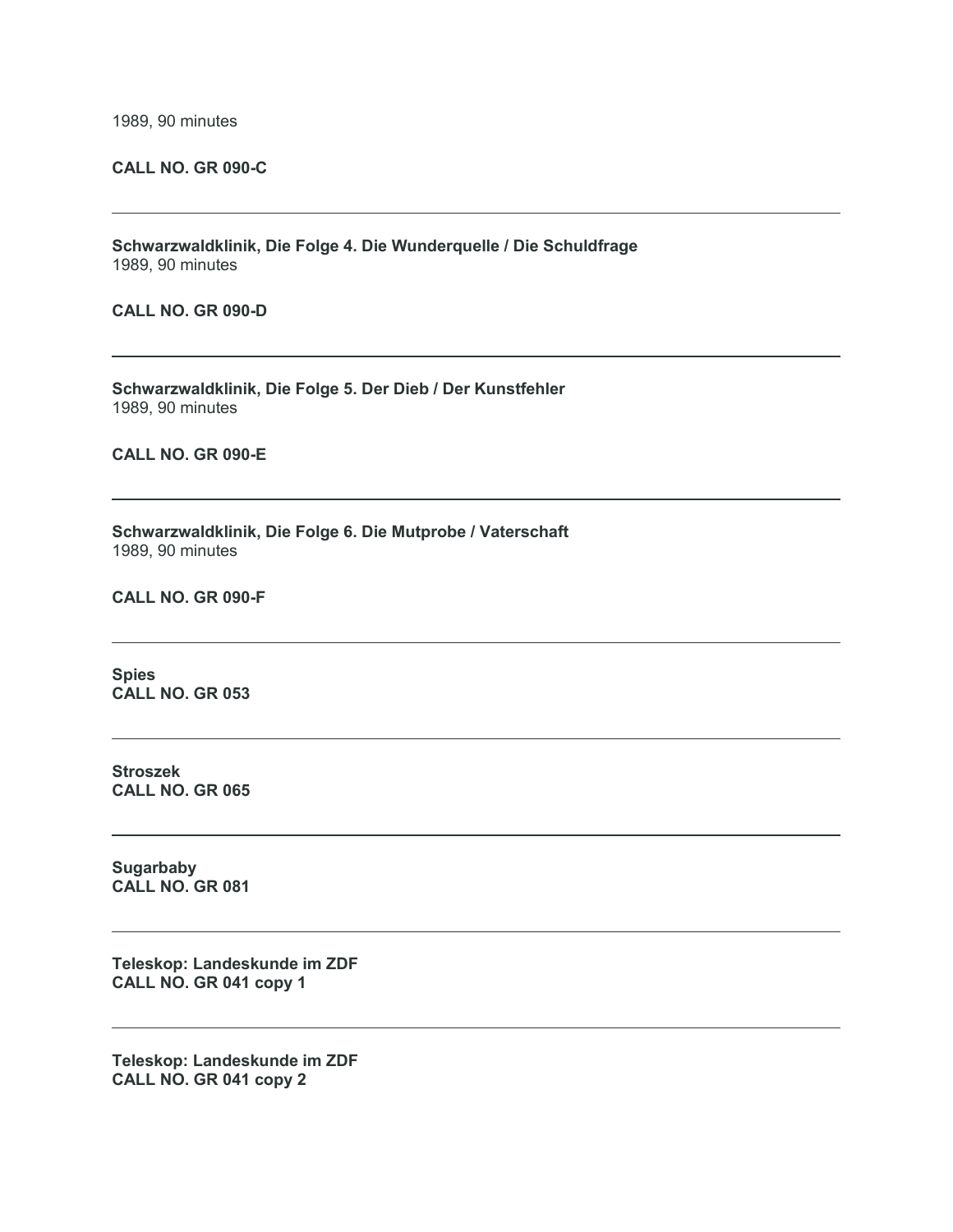1989, 90 minutes

### **CALL NO. GR 090-C**

**Schwarzwaldklinik, Die Folge 4. Die Wunderquelle / Die Schuldfrage** 1989, 90 minutes

**CALL NO. GR 090-D**

**Schwarzwaldklinik, Die Folge 5. Der Dieb / Der Kunstfehler** 1989, 90 minutes

**CALL NO. GR 090-E**

**Schwarzwaldklinik, Die Folge 6. Die Mutprobe / Vaterschaft** 1989, 90 minutes

**CALL NO. GR 090-F**

**Spies CALL NO. GR 053**

**Stroszek CALL NO. GR 065**

**Sugarbaby CALL NO. GR 081**

**Teleskop: Landeskunde im ZDF CALL NO. GR 041 copy 1**

**Teleskop: Landeskunde im ZDF CALL NO. GR 041 copy 2**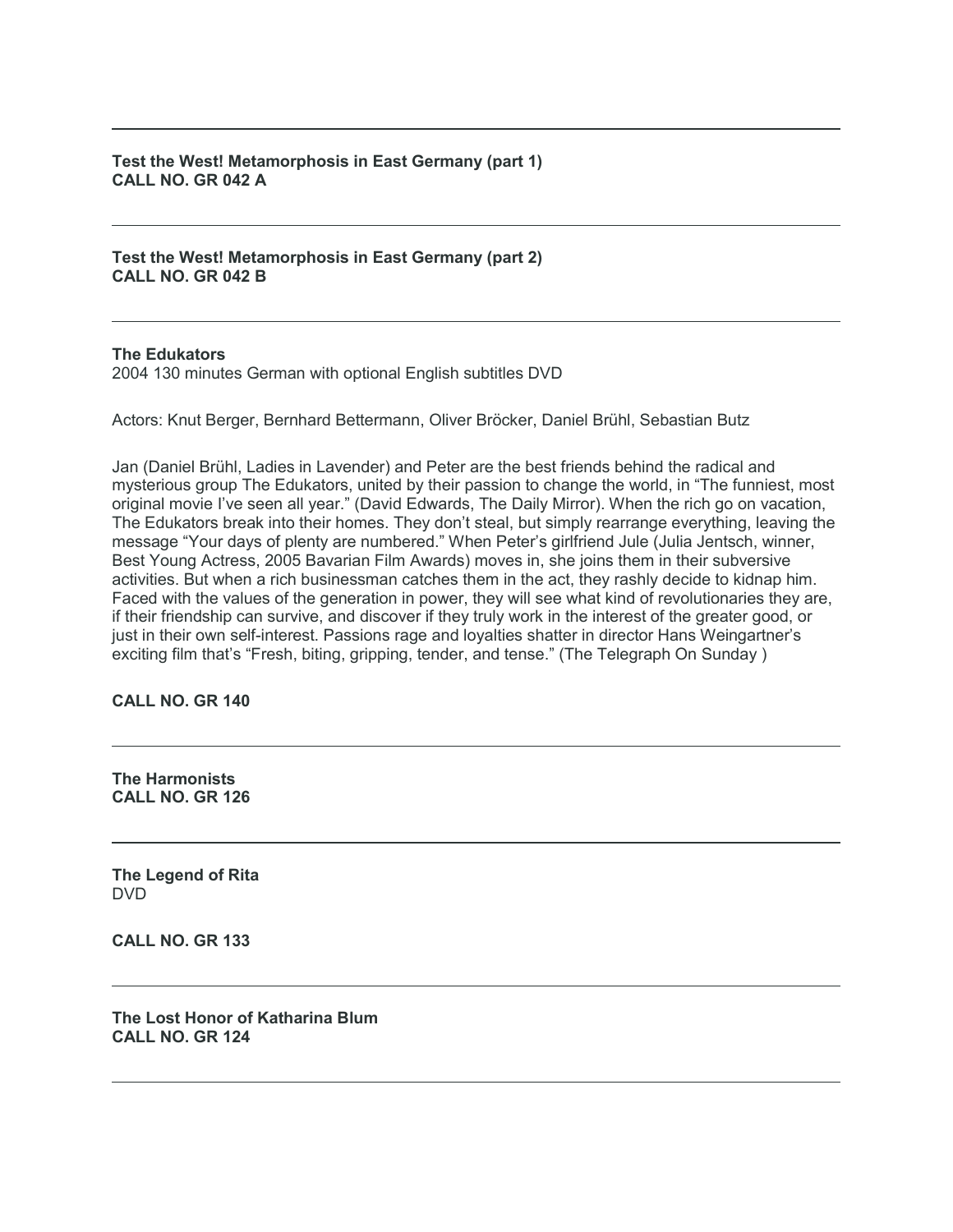**Test the West! Metamorphosis in East Germany (part 1) CALL NO. GR 042 A**

**Test the West! Metamorphosis in East Germany (part 2) CALL NO. GR 042 B**

#### **The Edukators**

2004 130 minutes German with optional English subtitles DVD

Actors: Knut Berger, Bernhard Bettermann, Oliver Bröcker, Daniel Brühl, Sebastian Butz

Jan (Daniel Brühl, Ladies in Lavender) and Peter are the best friends behind the radical and mysterious group The Edukators, united by their passion to change the world, in "The funniest, most original movie I've seen all year." (David Edwards, The Daily Mirror). When the rich go on vacation, The Edukators break into their homes. They don't steal, but simply rearrange everything, leaving the message "Your days of plenty are numbered." When Peter's girlfriend Jule (Julia Jentsch, winner, Best Young Actress, 2005 Bavarian Film Awards) moves in, she joins them in their subversive activities. But when a rich businessman catches them in the act, they rashly decide to kidnap him. Faced with the values of the generation in power, they will see what kind of revolutionaries they are, if their friendship can survive, and discover if they truly work in the interest of the greater good, or just in their own self-interest. Passions rage and loyalties shatter in director Hans Weingartner's exciting film that's "Fresh, biting, gripping, tender, and tense." (The Telegraph On Sunday )

**CALL NO. GR 140**

**The Harmonists CALL NO. GR 126**

**The Legend of Rita** DVD

**CALL NO. GR 133**

**The Lost Honor of Katharina Blum CALL NO. GR 124**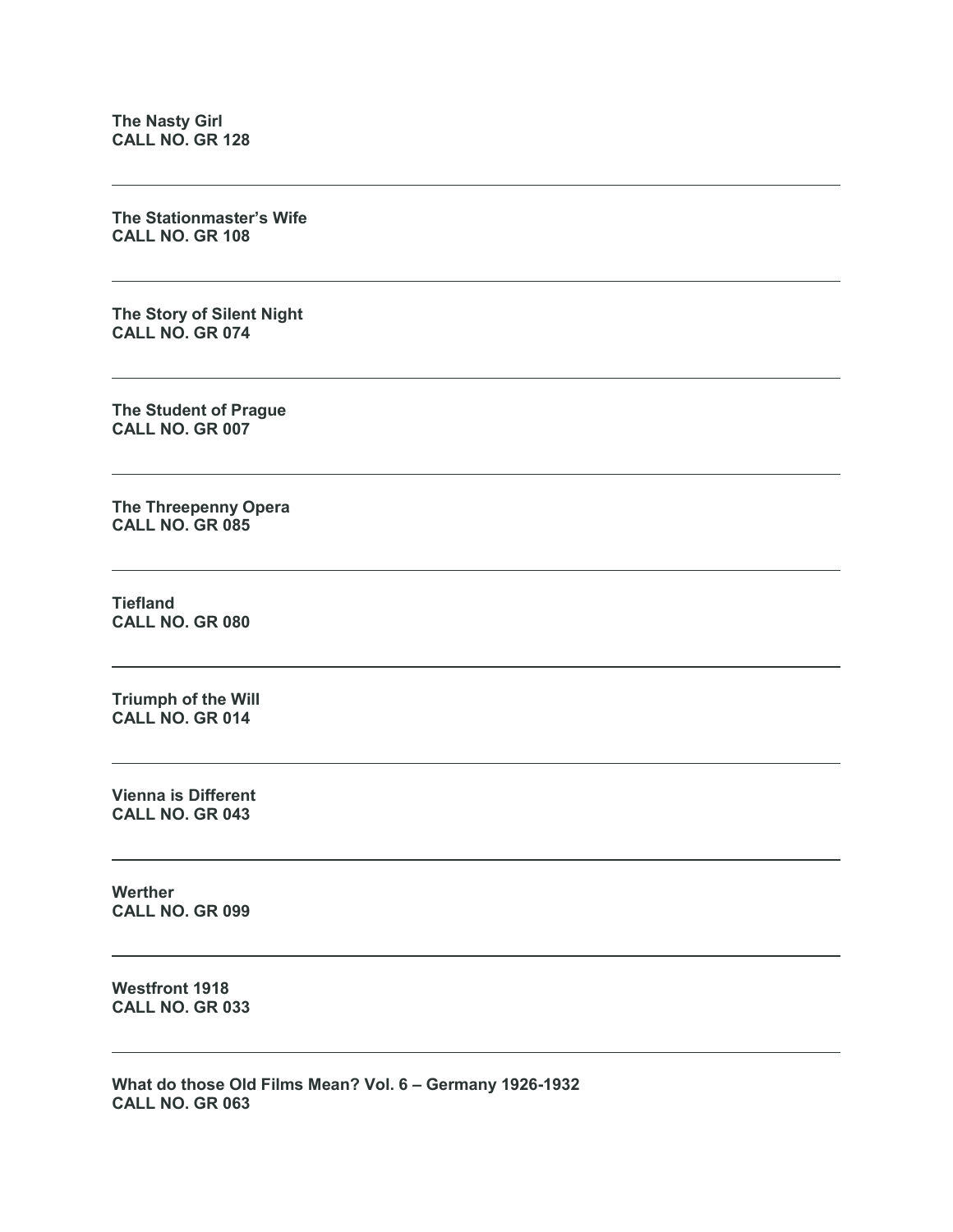**The Nasty Girl CALL NO. GR 128**

**The Stationmaster's Wife CALL NO. GR 108**

**The Story of Silent Night CALL NO. GR 074**

**The Student of Prague CALL NO. GR 007**

**The Threepenny Opera CALL NO. GR 085**

**Tiefland CALL NO. GR 080**

**Triumph of the Will CALL NO. GR 014**

**Vienna is Different CALL NO. GR 043**

**Werther CALL NO. GR 099**

**Westfront 1918 CALL NO. GR 033**

**What do those Old Films Mean? Vol. 6 – Germany 1926-1932 CALL NO. GR 063**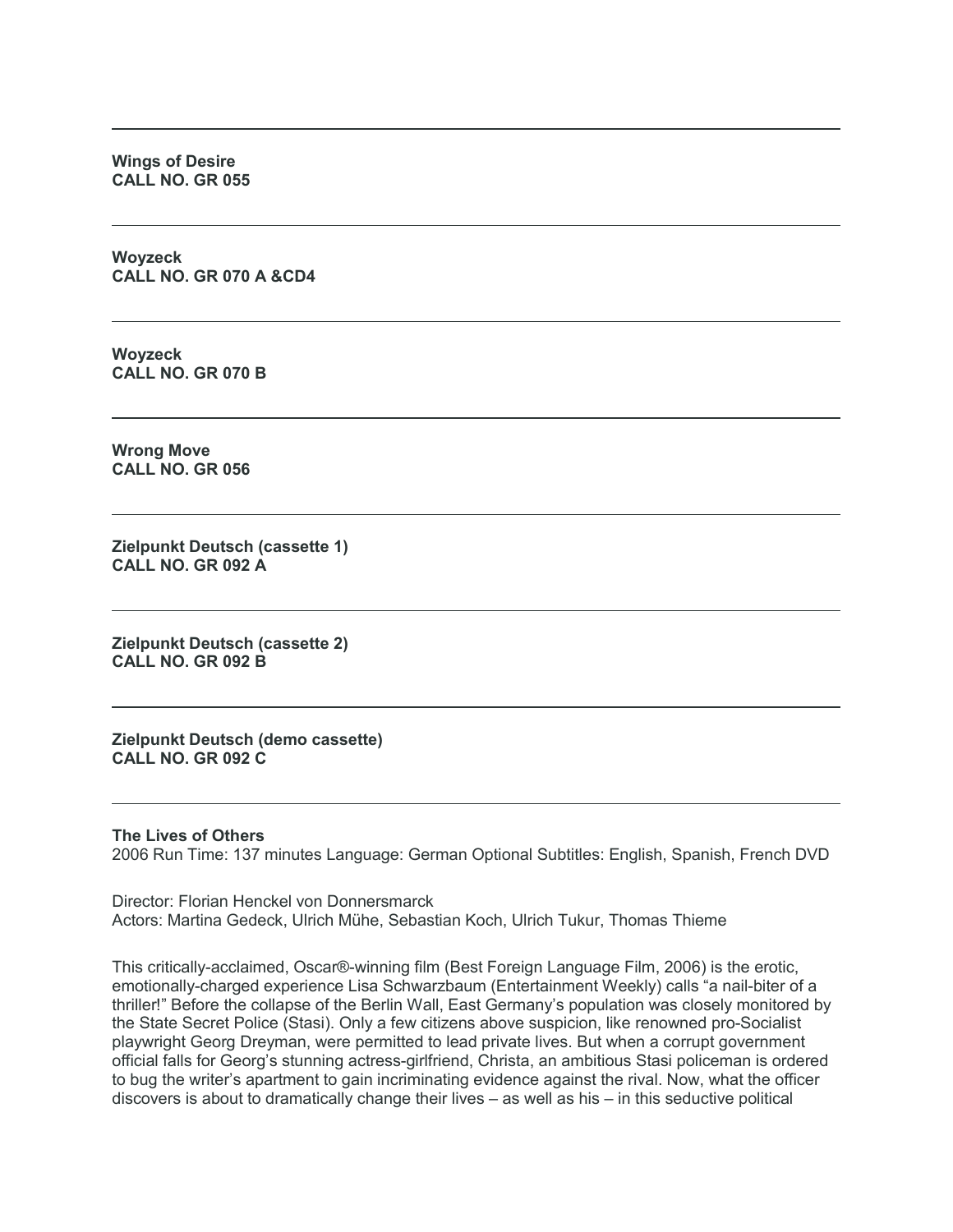**Wings of Desire CALL NO. GR 055**

**Woyzeck CALL NO. GR 070 A &CD4**

**Woyzeck CALL NO. GR 070 B**

**Wrong Move CALL NO. GR 056**

**Zielpunkt Deutsch (cassette 1) CALL NO. GR 092 A**

**Zielpunkt Deutsch (cassette 2) CALL NO. GR 092 B**

**Zielpunkt Deutsch (demo cassette) CALL NO. GR 092 C**

#### **The Lives of Others**

2006 Run Time: 137 minutes Language: German Optional Subtitles: English, Spanish, French DVD

Director: Florian Henckel von Donnersmarck Actors: Martina Gedeck, Ulrich Mühe, Sebastian Koch, Ulrich Tukur, Thomas Thieme

This critically-acclaimed, Oscar®-winning film (Best Foreign Language Film, 2006) is the erotic, emotionally-charged experience Lisa Schwarzbaum (Entertainment Weekly) calls "a nail-biter of a thriller!" Before the collapse of the Berlin Wall, East Germany's population was closely monitored by the State Secret Police (Stasi). Only a few citizens above suspicion, like renowned pro-Socialist playwright Georg Dreyman, were permitted to lead private lives. But when a corrupt government official falls for Georg's stunning actress-girlfriend, Christa, an ambitious Stasi policeman is ordered to bug the writer's apartment to gain incriminating evidence against the rival. Now, what the officer discovers is about to dramatically change their lives – as well as his – in this seductive political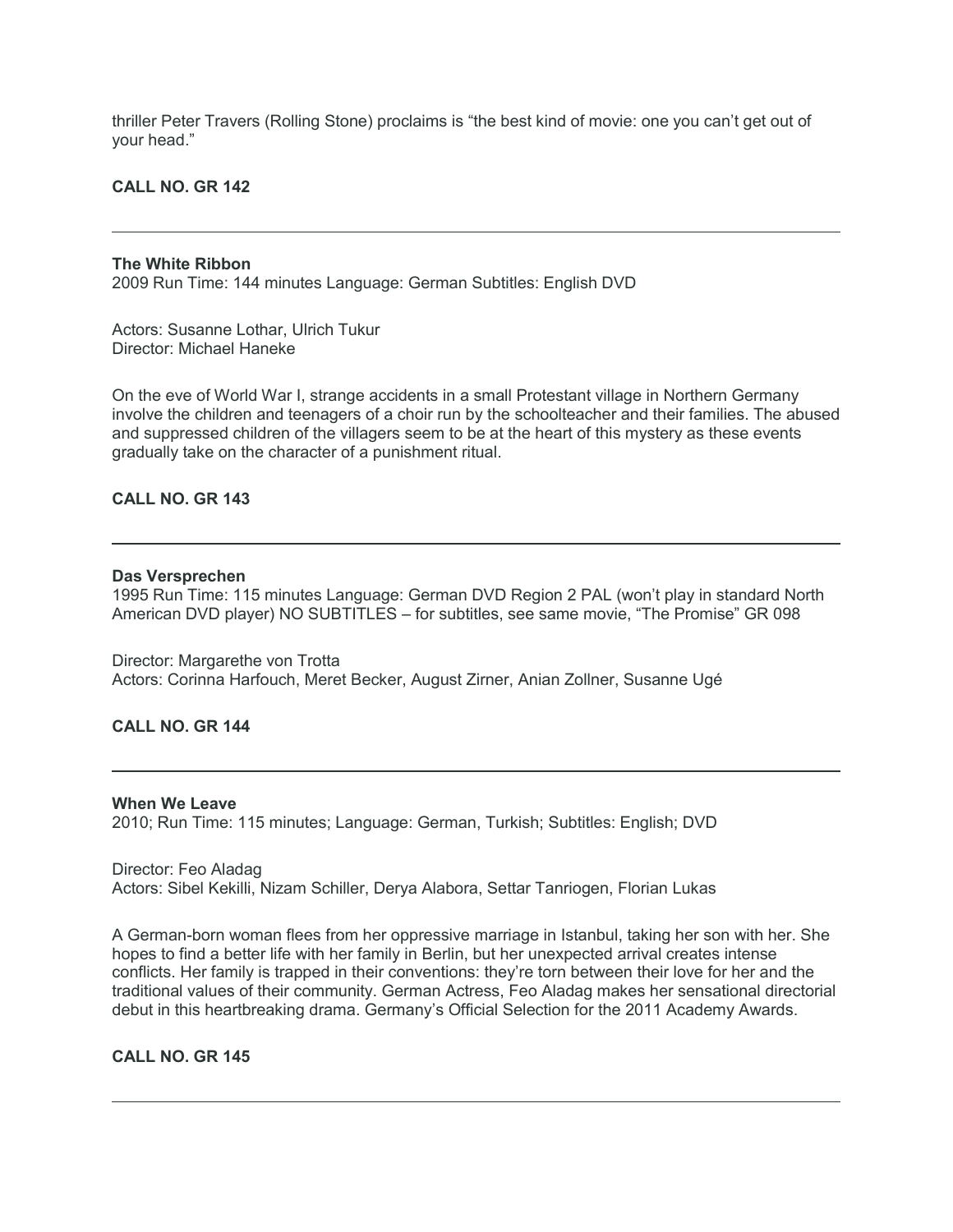thriller Peter Travers (Rolling Stone) proclaims is "the best kind of movie: one you can't get out of your head."

**CALL NO. GR 142**

#### **The White Ribbon**

2009 Run Time: 144 minutes Language: German Subtitles: English DVD

Actors: Susanne Lothar, Ulrich Tukur Director: Michael Haneke

On the eve of World War I, strange accidents in a small Protestant village in Northern Germany involve the children and teenagers of a choir run by the schoolteacher and their families. The abused and suppressed children of the villagers seem to be at the heart of this mystery as these events gradually take on the character of a punishment ritual.

# **CALL NO. GR 143**

#### **Das Versprechen**

1995 Run Time: 115 minutes Language: German DVD Region 2 PAL (won't play in standard North American DVD player) NO SUBTITLES – for subtitles, see same movie, "The Promise" GR 098

Director: Margarethe von Trotta Actors: Corinna Harfouch, Meret Becker, August Zirner, Anian Zollner, Susanne Ugé

# **CALL NO. GR 144**

#### **When We Leave**

2010; Run Time: 115 minutes; Language: German, Turkish; Subtitles: English; DVD

Director: Feo Aladag Actors: Sibel Kekilli, Nizam Schiller, Derya Alabora, Settar Tanriogen, Florian Lukas

A German-born woman flees from her oppressive marriage in Istanbul, taking her son with her. She hopes to find a better life with her family in Berlin, but her unexpected arrival creates intense conflicts. Her family is trapped in their conventions: they're torn between their love for her and the traditional values of their community. German Actress, Feo Aladag makes her sensational directorial debut in this heartbreaking drama. Germany's Official Selection for the 2011 Academy Awards.

# **CALL NO. GR 145**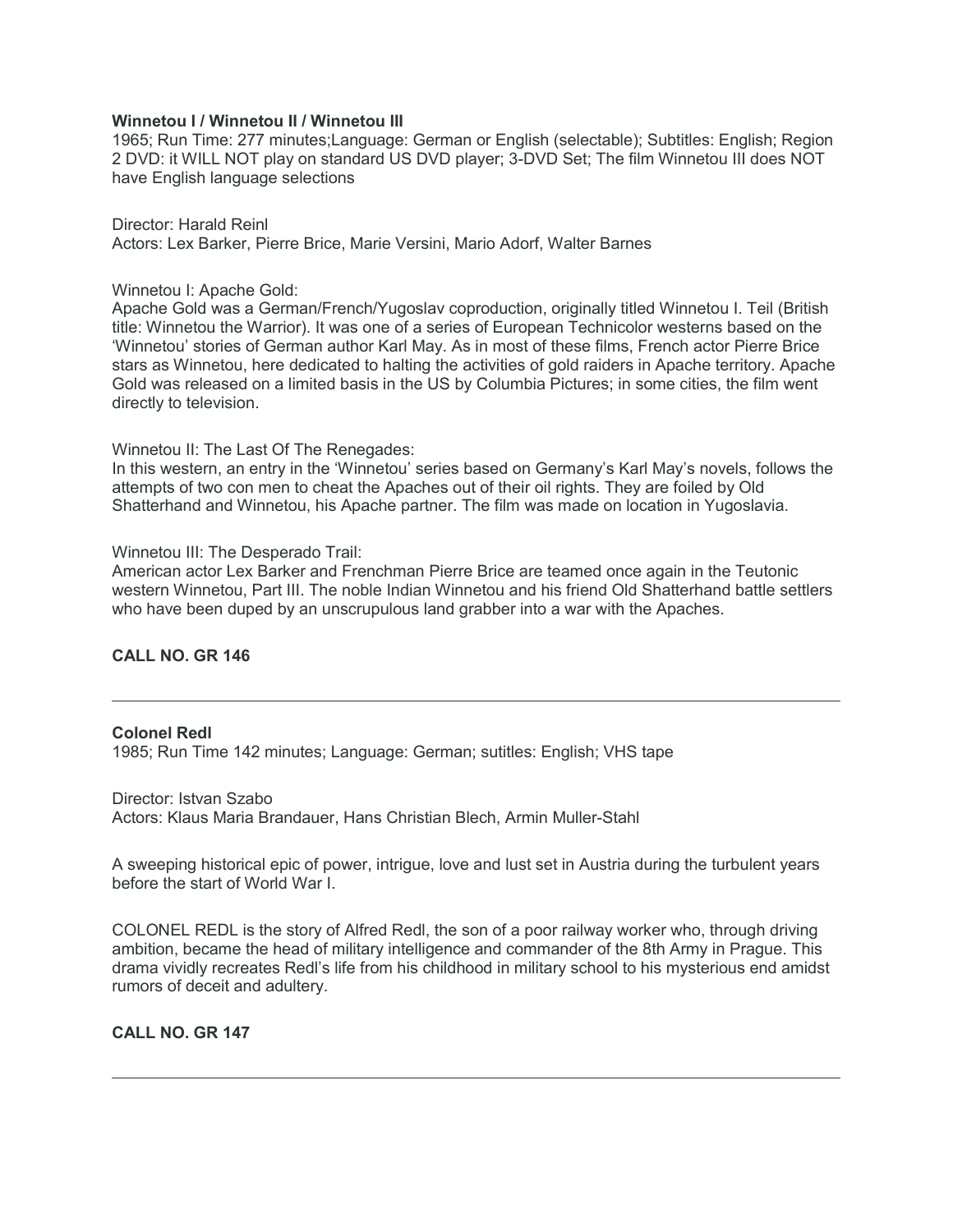#### **Winnetou I / Winnetou II / Winnetou III**

1965; Run Time: 277 minutes;Language: German or English (selectable); Subtitles: English; Region 2 DVD: it WILL NOT play on standard US DVD player; 3-DVD Set; The film Winnetou III does NOT have English language selections

Director: Harald Reinl Actors: Lex Barker, Pierre Brice, Marie Versini, Mario Adorf, Walter Barnes

#### Winnetou I: Apache Gold:

Apache Gold was a German/French/Yugoslav coproduction, originally titled Winnetou I. Teil (British title: Winnetou the Warrior). It was one of a series of European Technicolor westerns based on the 'Winnetou' stories of German author Karl May. As in most of these films, French actor Pierre Brice stars as Winnetou, here dedicated to halting the activities of gold raiders in Apache territory. Apache Gold was released on a limited basis in the US by Columbia Pictures; in some cities, the film went directly to television.

Winnetou II: The Last Of The Renegades:

In this western, an entry in the 'Winnetou' series based on Germany's Karl May's novels, follows the attempts of two con men to cheat the Apaches out of their oil rights. They are foiled by Old Shatterhand and Winnetou, his Apache partner. The film was made on location in Yugoslavia.

Winnetou III: The Desperado Trail:

American actor Lex Barker and Frenchman Pierre Brice are teamed once again in the Teutonic western Winnetou, Part III. The noble Indian Winnetou and his friend Old Shatterhand battle settlers who have been duped by an unscrupulous land grabber into a war with the Apaches.

#### **CALL NO. GR 146**

#### **Colonel Redl**

1985; Run Time 142 minutes; Language: German; sutitles: English; VHS tape

Director: Istvan Szabo Actors: Klaus Maria Brandauer, Hans Christian Blech, Armin Muller-Stahl

A sweeping historical epic of power, intrigue, love and lust set in Austria during the turbulent years before the start of World War I.

COLONEL REDL is the story of Alfred Redl, the son of a poor railway worker who, through driving ambition, became the head of military intelligence and commander of the 8th Army in Prague. This drama vividly recreates Redl's life from his childhood in military school to his mysterious end amidst rumors of deceit and adultery.

**CALL NO. GR 147**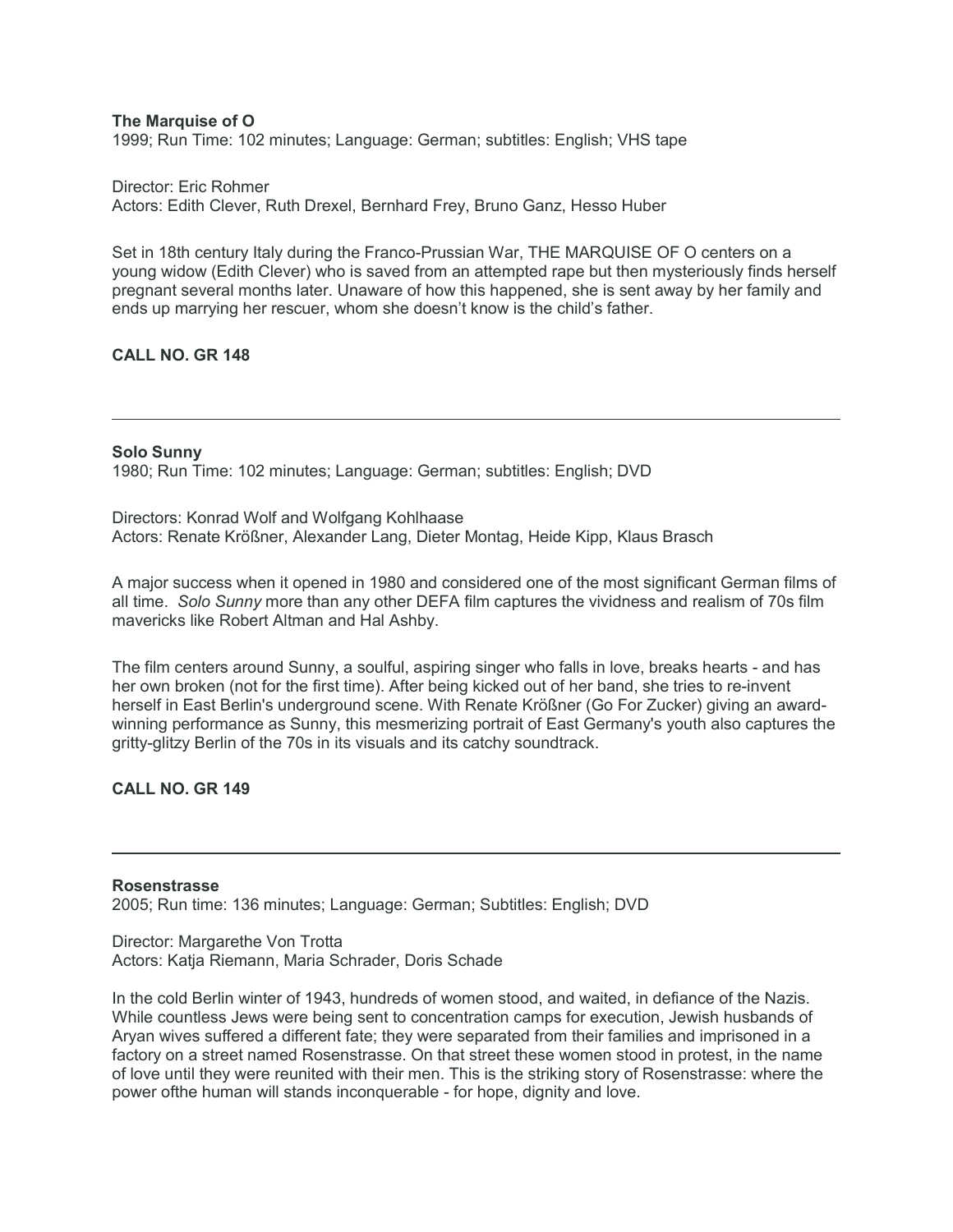#### **The Marquise of O**

1999; Run Time: 102 minutes; Language: German; subtitles: English; VHS tape

Director: Eric Rohmer Actors: Edith Clever, Ruth Drexel, Bernhard Frey, Bruno Ganz, Hesso Huber

Set in 18th century Italy during the Franco-Prussian War, THE MARQUISE OF O centers on a young widow (Edith Clever) who is saved from an attempted rape but then mysteriously finds herself pregnant several months later. Unaware of how this happened, she is sent away by her family and ends up marrying her rescuer, whom she doesn't know is the child's father.

# **CALL NO. GR 148**

#### **Solo Sunny**

1980; Run Time: 102 minutes; Language: German; subtitles: English; DVD

Directors: Konrad Wolf and Wolfgang Kohlhaase Actors: Renate Krößner, Alexander Lang, Dieter Montag, Heide Kipp, Klaus Brasch

A major success when it opened in 1980 and considered one of the most significant German films of all time. *Solo Sunny* more than any other DEFA film captures the vividness and realism of 70s film mavericks like Robert Altman and Hal Ashby.

The film centers around Sunny, a soulful, aspiring singer who falls in love, breaks hearts - and has her own broken (not for the first time). After being kicked out of her band, she tries to re-invent herself in East Berlin's underground scene. With Renate Krößner (Go For Zucker) giving an awardwinning performance as Sunny, this mesmerizing portrait of East Germany's youth also captures the gritty-glitzy Berlin of the 70s in its visuals and its catchy soundtrack.

### **CALL NO. GR 149**

#### **Rosenstrasse**

2005; Run time: 136 minutes; Language: German; Subtitles: English; DVD

Director: Margarethe Von Trotta Actors: Katia Riemann, Maria Schrader, Doris Schade

In the cold Berlin winter of 1943, hundreds of women stood, and waited, in defiance of the Nazis. While countless Jews were being sent to concentration camps for execution, Jewish husbands of Aryan wives suffered a different fate; they were separated from their families and imprisoned in a factory on a street named Rosenstrasse. On that street these women stood in protest, in the name of love until they were reunited with their men. This is the striking story of Rosenstrasse: where the power ofthe human will stands inconquerable - for hope, dignity and love.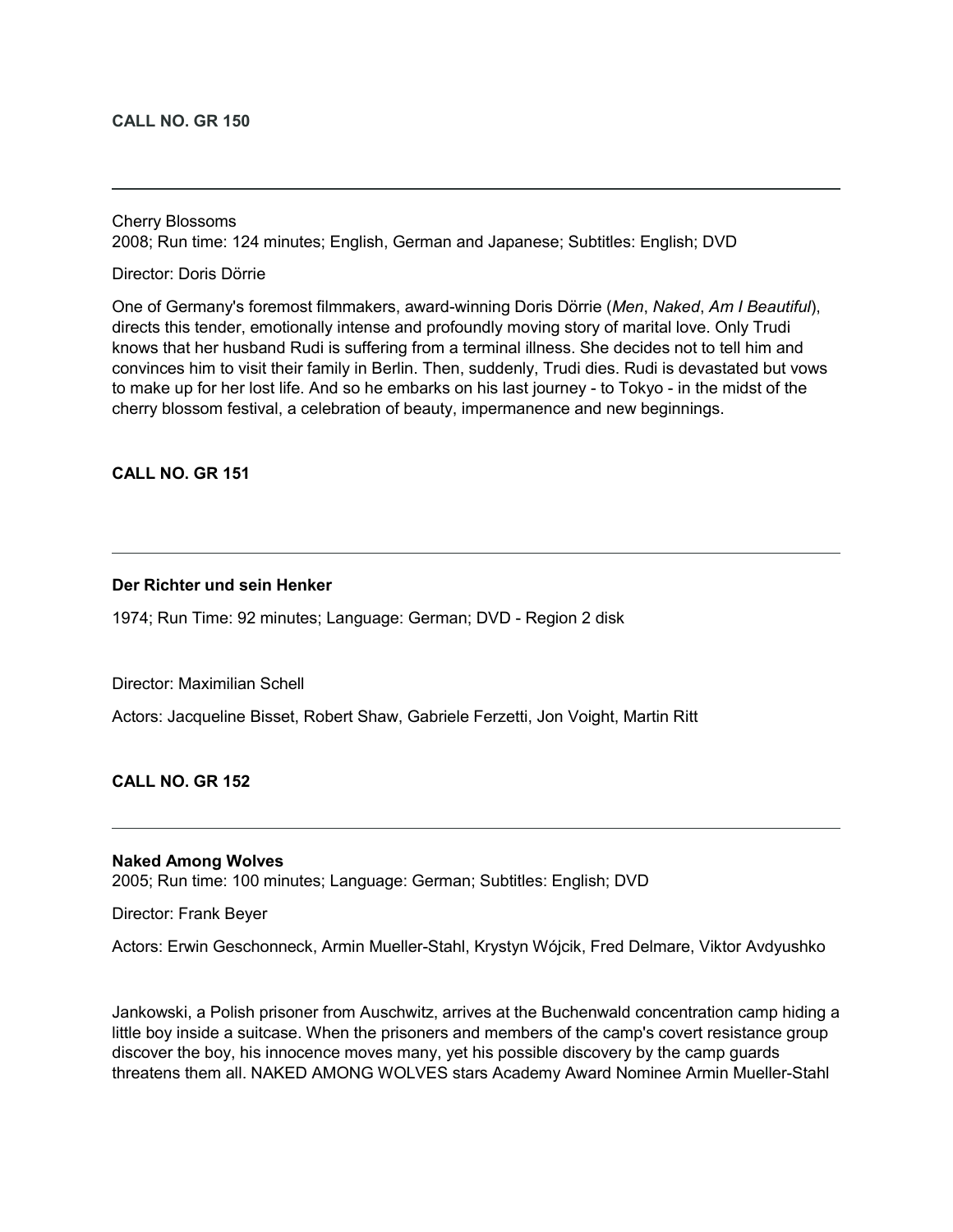#### **CALL NO. GR 150**

Cherry Blossoms 2008; Run time: 124 minutes; English, German and Japanese; Subtitles: English; DVD

Director: Doris Dörrie

One of Germany's foremost filmmakers, award-winning Doris Dörrie (*Men*, *Naked*, *Am I Beautiful*), directs this tender, emotionally intense and profoundly moving story of marital love. Only Trudi knows that her husband Rudi is suffering from a terminal illness. She decides not to tell him and convinces him to visit their family in Berlin. Then, suddenly, Trudi dies. Rudi is devastated but vows to make up for her lost life. And so he embarks on his last journey - to Tokyo - in the midst of the cherry blossom festival, a celebration of beauty, impermanence and new beginnings.

**CALL NO. GR 151**

# **Der Richter und sein Henker**

1974; Run Time: 92 minutes; Language: German; DVD - Region 2 disk

Director: Maximilian Schell

Actors: Jacqueline Bisset, Robert Shaw, Gabriele Ferzetti, Jon Voight, Martin Ritt

**CALL NO. GR 152**

#### **Naked Among Wolves**

2005; Run time: 100 minutes; Language: German; Subtitles: English; DVD

Director: Frank Beyer

Actors: Erwin Geschonneck, Armin Mueller-Stahl, Krystyn Wójcik, Fred Delmare, Viktor Avdyushko

Jankowski, a Polish prisoner from Auschwitz, arrives at the Buchenwald concentration camp hiding a little boy inside a suitcase. When the prisoners and members of the camp's covert resistance group discover the boy, his innocence moves many, yet his possible discovery by the camp guards threatens them all. NAKED AMONG WOLVES stars Academy Award Nominee Armin Mueller-Stahl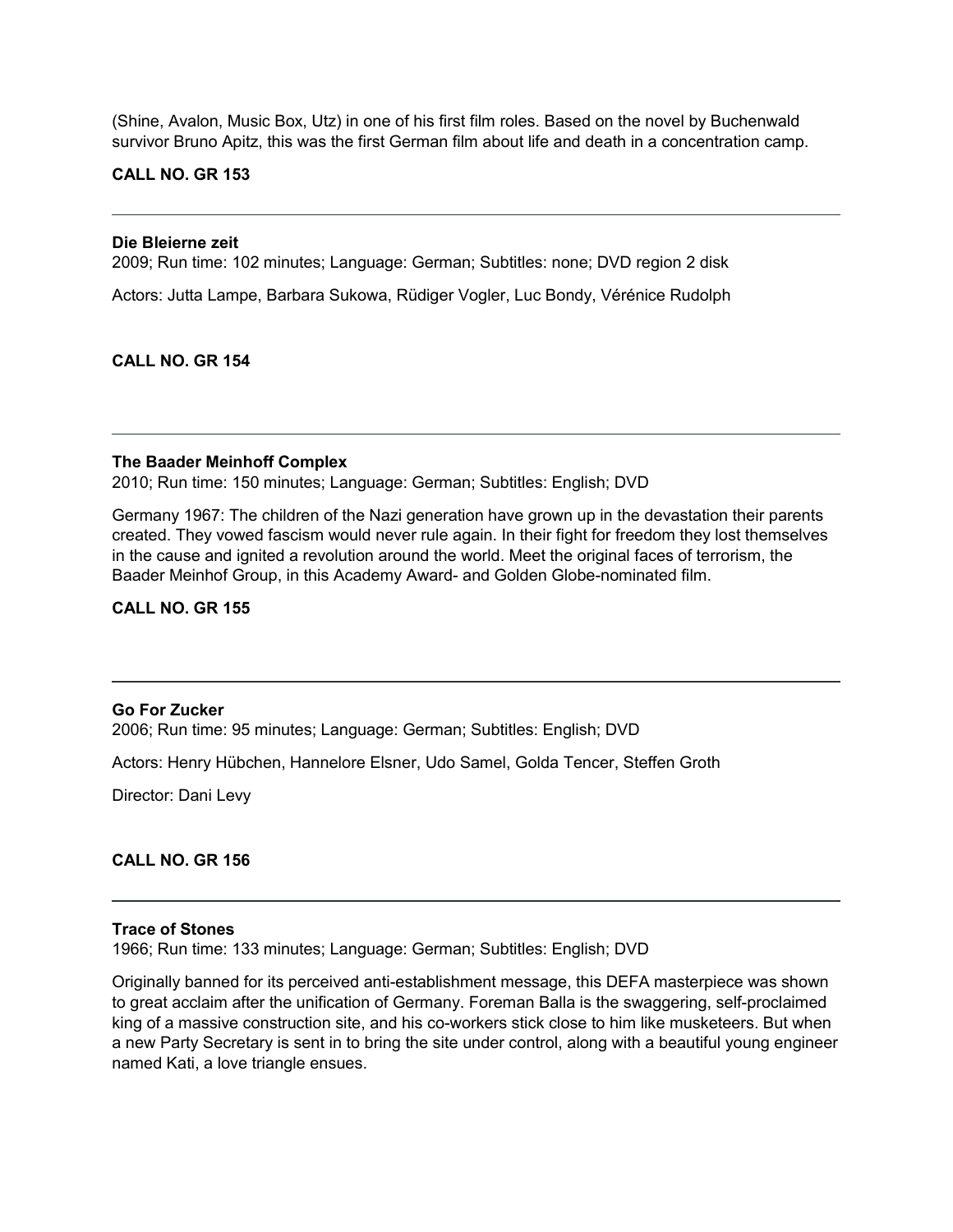(Shine, Avalon, Music Box, Utz) in one of his first film roles. Based on the novel by Buchenwald survivor Bruno Apitz, this was the first German film about life and death in a concentration camp.

#### **CALL NO. GR 153**

#### **Die Bleierne zeit**

2009; Run time: 102 minutes; Language: German; Subtitles: none; DVD region 2 disk

Actors: Jutta Lampe, Barbara Sukowa, Rüdiger Vogler, Luc Bondy, Vérénice Rudolph

# **CALL NO. GR 154**

# **The Baader Meinhoff Complex**

2010; Run time: 150 minutes; Language: German; Subtitles: English; DVD

Germany 1967: The children of the Nazi generation have grown up in the devastation their parents created. They vowed fascism would never rule again. In their fight for freedom they lost themselves in the cause and ignited a revolution around the world. Meet the original faces of terrorism, the Baader Meinhof Group, in this Academy Award- and Golden Globe-nominated film.

# **CALL NO. GR 155**

# **Go For Zucker**

2006; Run time: 95 minutes; Language: German; Subtitles: English; DVD

Actors: Henry Hübchen, Hannelore Elsner, Udo Samel, Golda Tencer, Steffen Groth

Director: Dani Levy

# **CALL NO. GR 156**

#### **Trace of Stones**

1966; Run time: 133 minutes; Language: German; Subtitles: English; DVD

Originally banned for its perceived anti-establishment message, this DEFA masterpiece was shown to great acclaim after the unification of Germany. Foreman Balla is the swaggering, self-proclaimed king of a massive construction site, and his co-workers stick close to him like musketeers. But when a new Party Secretary is sent in to bring the site under control, along with a beautiful young engineer named Kati, a love triangle ensues.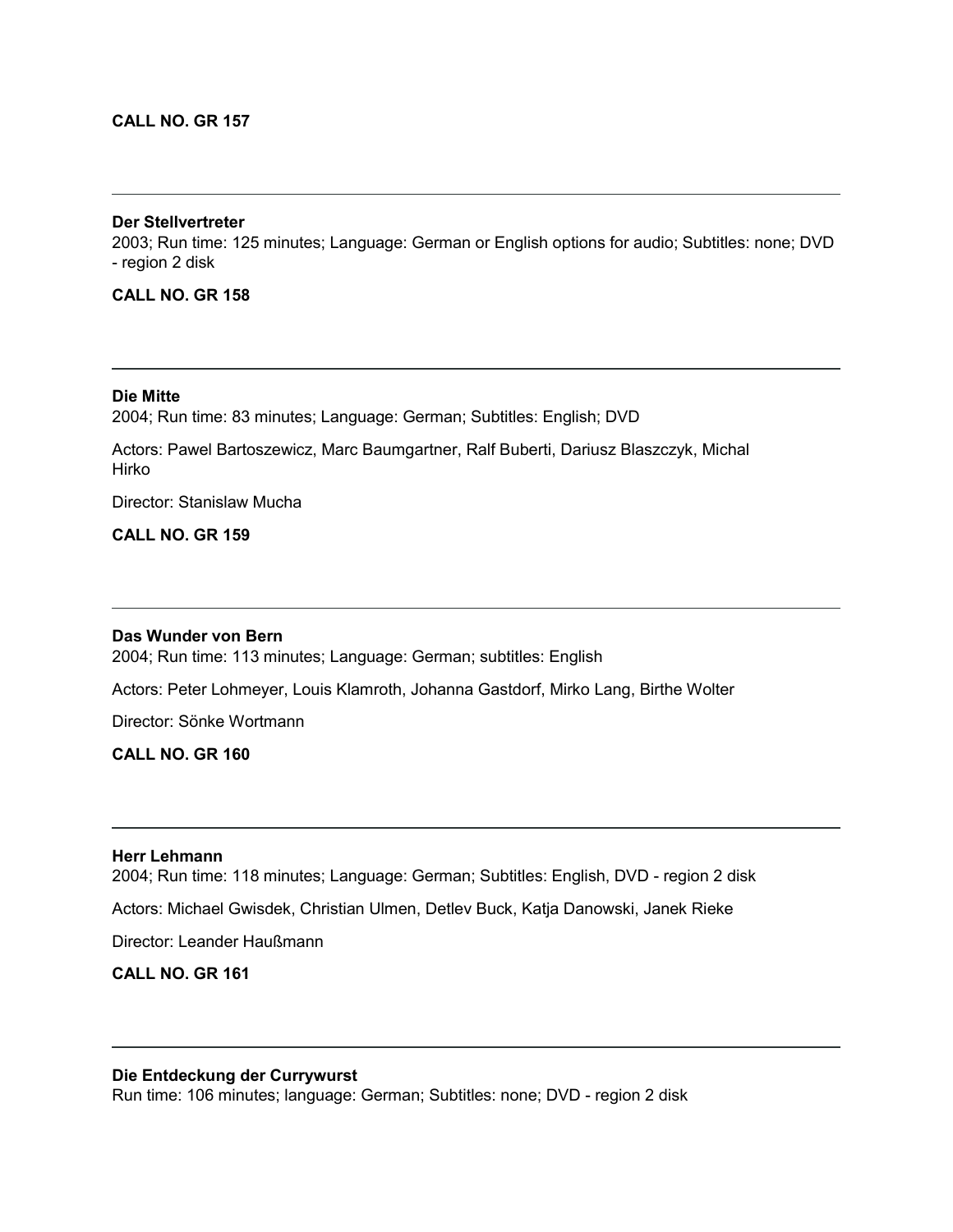# **CALL NO. GR 157**

# **Der Stellvertreter**

2003; Run time: 125 minutes; Language: German or English options for audio; Subtitles: none; DVD - region 2 disk

# **CALL NO. GR 158**

**Die Mitte** 2004; Run time: 83 minutes; Language: German; Subtitles: English; DVD

Actors: Pawel Bartoszewicz, Marc Baumgartner, Ralf Buberti, Dariusz Blaszczyk, Michal Hirko

Director: Stanislaw Mucha

# **CALL NO. GR 159**

### **Das Wunder von Bern**

2004; Run time: 113 minutes; Language: German; subtitles: English

Actors: Peter Lohmeyer, Louis Klamroth, Johanna Gastdorf, Mirko Lang, Birthe Wolter

Director: Sönke Wortmann

# **CALL NO. GR 160**

# **Herr Lehmann**

2004; Run time: 118 minutes; Language: German; Subtitles: English, DVD - region 2 disk

Actors: Michael Gwisdek, Christian Ulmen, Detlev Buck, Katja Danowski, Janek Rieke

Director: Leander Haußmann

**CALL NO. GR 161**

#### **Die Entdeckung der Currywurst**

Run time: 106 minutes; language: German; Subtitles: none; DVD - region 2 disk